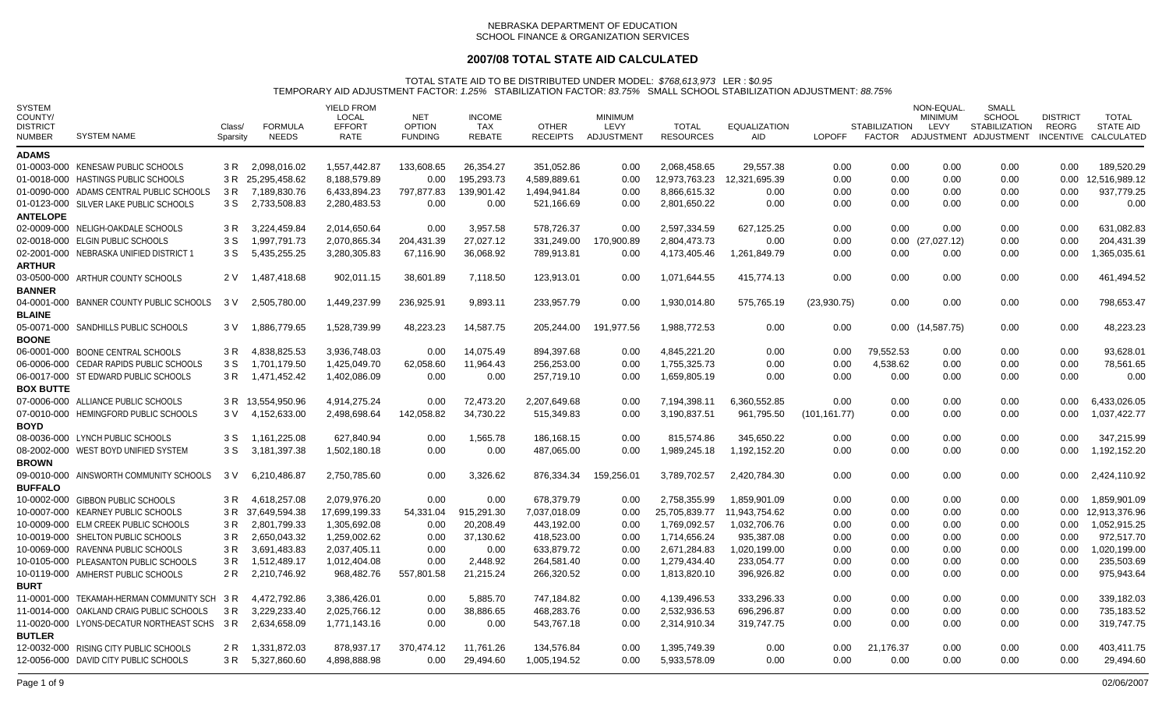## **2007/08 TOTAL STATE AID CALCULATED**

| <b>SYSTEM</b><br>COUNTY/<br><b>DISTRICT</b><br>NUMBER | <b>SYSTEM NAME</b>                           | Class/<br>Sparsity | <b>FORMULA</b><br><b>NEEDS</b> | <b>YIELD FROM</b><br>LOCAL<br><b>EFFORT</b><br>RATE | <b>NET</b><br><b>OPTION</b><br><b>FUNDING</b> | <b>INCOME</b><br><b>TAX</b><br><b>REBATE</b> | <b>OTHER</b><br><b>RECEIPTS</b> | <b>MINIMUM</b><br>LEVY<br>ADJUSTMENT | <b>TOTAL</b><br><b>RESOURCES</b> | <b>EQUALIZATION</b><br><b>AID</b> | <b>LOPOFF</b> | <b>STABILIZATION</b><br>FACTOR | NON-EQUAL<br><b>MINIMUM</b><br><b>LEVY</b> | SMALL<br><b>SCHOOL</b><br><b>STABILIZATION</b><br>ADJUSTMENT ADJUSTMENT | <b>DISTRICT</b><br><b>REORG</b> | <b>TOTAL</b><br><b>STATE AID</b><br>INCENTIVE CALCULATED |
|-------------------------------------------------------|----------------------------------------------|--------------------|--------------------------------|-----------------------------------------------------|-----------------------------------------------|----------------------------------------------|---------------------------------|--------------------------------------|----------------------------------|-----------------------------------|---------------|--------------------------------|--------------------------------------------|-------------------------------------------------------------------------|---------------------------------|----------------------------------------------------------|
| <b>ADAMS</b>                                          |                                              |                    |                                |                                                     |                                               |                                              |                                 |                                      |                                  |                                   |               |                                |                                            |                                                                         |                                 |                                                          |
|                                                       | 01-0003-000 KENESAW PUBLIC SCHOOLS           | 3 R                | 2.098.016.02                   | 1,557,442.87                                        | 133,608.65                                    | 26,354.27                                    | 351,052.86                      | 0.00                                 | 2.068.458.65                     | 29,557.38                         | 0.00          | 0.00                           | 0.00                                       | 0.00                                                                    | 0.00                            | 189,520.29                                               |
|                                                       | 01-0018-000 HASTINGS PUBLIC SCHOOLS          |                    | 3 R 25,295,458.62              | 8,188,579.89                                        | 0.00                                          | 195,293.73                                   | 4,589,889.61                    | 0.00                                 | 12,973,763.23                    | 12,321,695.39                     | 0.00          | 0.00                           | 0.00                                       | 0.00                                                                    | 0.00                            | 12,516,989.12                                            |
|                                                       | 01-0090-000 ADAMS CENTRAL PUBLIC SCHOOLS     | 3 R                | 7,189,830.76                   | 6,433,894.23                                        | 797,877.83                                    | 139,901.42                                   | 1,494,941.84                    | 0.00                                 | 8.866.615.32                     | 0.00                              | 0.00          | 0.00                           | 0.00                                       | 0.00                                                                    | 0.00                            | 937,779.25                                               |
|                                                       | 01-0123-000 SILVER LAKE PUBLIC SCHOOLS       | 3 S                | 2,733,508.83                   | 2,280,483.53                                        | 0.00                                          | 0.00                                         | 521,166.69                      | 0.00                                 | 2,801,650.22                     | 0.00                              | 0.00          | 0.00                           | 0.00                                       | 0.00                                                                    | 0.00                            | 0.00                                                     |
| <b>ANTELOPE</b>                                       |                                              |                    |                                |                                                     |                                               |                                              |                                 |                                      |                                  |                                   |               |                                |                                            |                                                                         |                                 |                                                          |
|                                                       | 02-0009-000 NELIGH-OAKDALE SCHOOLS           | 3 R                | 3.224.459.84                   | 2.014.650.64                                        | 0.00                                          | 3,957.58                                     | 578.726.37                      | 0.00                                 | 2,597,334.59                     | 627,125.25                        | 0.00          | 0.00                           | 0.00                                       | 0.00                                                                    | 0.00                            | 631,082.83                                               |
|                                                       | 02-0018-000 ELGIN PUBLIC SCHOOLS             | 3 S                | 1.997.791.73                   | 2.070.865.34                                        | 204,431.39                                    | 27,027.12                                    | 331.249.00                      | 170.900.89                           | 2.804.473.73                     | 0.00                              | 0.00          | $0.00\,$                       | (27,027.12)                                | 0.00                                                                    | 0.00                            | 204.431.39                                               |
|                                                       | 02-2001-000 NEBRASKA UNIFIED DISTRICT 1      | 3 S                | 5,435,255.25                   | 3,280,305.83                                        | 67,116.90                                     | 36,068.92                                    | 789,913.81                      | 0.00                                 | 4,173,405.46                     | 1,261,849.79                      | 0.00          | 0.00                           | 0.00                                       | 0.00                                                                    | 0.00                            | ,365,035.61                                              |
| ARTHUR                                                |                                              |                    |                                |                                                     |                                               |                                              |                                 |                                      |                                  |                                   |               |                                |                                            |                                                                         |                                 |                                                          |
| <b>BANNER</b>                                         | 03-0500-000 ARTHUR COUNTY SCHOOLS            | 2 V                | 1,487,418.68                   | 902,011.15                                          | 38,601.89                                     | 7,118.50                                     | 123,913.01                      | 0.00                                 | 1,071,644.55                     | 415,774.13                        | 0.00          | 0.00                           | 0.00                                       | 0.00                                                                    | 0.00                            | 461,494.52                                               |
| <b>BLAINE</b>                                         | 04-0001-000 BANNER COUNTY PUBLIC SCHOOLS     | 3 V                | 2.505,780.00                   | 1.449.237.99                                        | 236,925.91                                    | 9,893.11                                     | 233.957.79                      | 0.00                                 | 1.930.014.80                     | 575,765.19                        | (23,930.75)   | 0.00                           | 0.00                                       | 0.00                                                                    | 0.00                            | 798.653.47                                               |
| <b>BOONE</b>                                          | 05-0071-000 SANDHILLS PUBLIC SCHOOLS         | 3 V                | 1,886,779.65                   | 1,528,739.99                                        | 48,223.23                                     | 14,587.75                                    | 205,244.00                      | 191,977.56                           | 1,988,772.53                     | 0.00                              | 0.00          |                                | $0.00$ $(14,587.75)$                       | 0.00                                                                    | 0.00                            | 48,223.23                                                |
|                                                       | 06-0001-000 BOONE CENTRAL SCHOOLS            | 3 R                | 4.838.825.53                   | 3.936.748.03                                        | 0.00                                          | 14,075.49                                    | 894,397.68                      | 0.00                                 | 4,845,221.20                     | 0.00                              | 0.00          | 79,552.53                      | 0.00                                       | 0.00                                                                    | 0.00                            | 93,628.01                                                |
|                                                       | 06-0006-000 CEDAR RAPIDS PUBLIC SCHOOLS      | 3 S                | 1,701,179.50                   | 1,425,049.70                                        | 62,058.60                                     | 11,964.43                                    | 256,253.00                      | 0.00                                 | 1,755,325.73                     | 0.00                              | 0.00          | 4,538.62                       | 0.00                                       | 0.00                                                                    | 0.00                            | 78,561.65                                                |
|                                                       | 06-0017-000 ST EDWARD PUBLIC SCHOOLS         | 3 R                | 1,471,452.42                   | 1,402,086.09                                        | 0.00                                          | 0.00                                         | 257,719.10                      | 0.00                                 | 1,659,805.19                     | 0.00                              | 0.00          | 0.00                           | 0.00                                       | 0.00                                                                    | 0.00                            | 0.00                                                     |
| <b>BOX BUTTE</b>                                      |                                              |                    |                                |                                                     |                                               |                                              |                                 |                                      |                                  |                                   |               |                                |                                            |                                                                         |                                 |                                                          |
|                                                       | 07-0006-000 ALLIANCE PUBLIC SCHOOLS          |                    | 3 R 13,554,950.96              | 4,914,275.24                                        | 0.00                                          | 72,473.20                                    | 2,207,649.68                    | 0.00                                 | 7,194,398.11                     | 6,360,552.85                      | 0.00          | 0.00                           | 0.00                                       | 0.00                                                                    | 0.00                            | 6,433,026.05                                             |
|                                                       | 07-0010-000 HEMINGFORD PUBLIC SCHOOLS        | 3 V                | 4,152,633.00                   | 2,498,698.64                                        | 142,058.82                                    | 34,730.22                                    | 515.349.83                      | 0.00                                 | 3,190,837.51                     | 961,795.50                        | (101, 161.77) | 0.00                           | 0.00                                       | 0.00                                                                    | 0.00                            | 1.037.422.77                                             |
| <b>BOYD</b>                                           |                                              |                    |                                |                                                     |                                               |                                              |                                 |                                      |                                  |                                   |               |                                |                                            |                                                                         |                                 |                                                          |
|                                                       | 08-0036-000 LYNCH PUBLIC SCHOOLS             | 3 S                | 1,161,225.08                   | 627,840.94                                          | 0.00                                          | 1,565.78                                     | 186,168.15                      | 0.00                                 | 815,574.86                       | 345,650.22                        | 0.00          | 0.00                           | 0.00                                       | 0.00                                                                    | 0.00                            | 347,215.99                                               |
|                                                       | 08-2002-000 WEST BOYD UNIFIED SYSTEM         | 3 S                | 3,181,397.38                   | 1,502,180.18                                        | 0.00                                          | 0.00                                         | 487.065.00                      | 0.00                                 | 1,989,245.18                     | 1,192,152.20                      | 0.00          | 0.00                           | 0.00                                       | 0.00                                                                    | 0.00                            | 1,192,152.20                                             |
| <b>BROWN</b>                                          |                                              |                    |                                |                                                     |                                               |                                              |                                 |                                      |                                  |                                   |               |                                |                                            |                                                                         |                                 |                                                          |
| <b>BUFFALO</b>                                        | 09-0010-000 AINSWORTH COMMUNITY SCHOOLS      | 3 V                | 6,210,486.87                   | 2,750,785.60                                        | 0.00                                          | 3,326.62                                     | 876,334.34                      | 159,256.01                           | 3,789,702.57                     | 2,420,784.30                      | 0.00          | 0.00                           | 0.00                                       | 0.00                                                                    | 0.00                            | 2,424,110.92                                             |
|                                                       | 10-0002-000 GIBBON PUBLIC SCHOOLS            | 3 R                | 4,618,257.08                   | 2,079,976.20                                        | 0.00                                          | 0.00                                         | 678,379.79                      | 0.00                                 | 2,758,355.99                     | 1,859,901.09                      | 0.00          | 0.00                           | 0.00                                       | 0.00                                                                    | 0.00                            | 1,859,901.09                                             |
|                                                       | 10-0007-000 KEARNEY PUBLIC SCHOOLS           | 3 R                | 37,649,594.38                  | 17,699,199.33                                       | 54,331.04                                     | 915,291.30                                   | 7,037,018.09                    | 0.00                                 | 25,705,839.77                    | 11,943,754.62                     | 0.00          | 0.00                           | 0.00                                       | 0.00                                                                    | 0.00                            | 12,913,376.96                                            |
|                                                       | 10-0009-000 ELM CREEK PUBLIC SCHOOLS         | 3 R                | 2.801.799.33                   | 1,305,692.08                                        | 0.00                                          | 20,208.49                                    | 443,192.00                      | 0.00                                 | 1.769.092.57                     | 1,032,706.76                      | 0.00          | 0.00                           | 0.00                                       | 0.00                                                                    | 0.00                            | 1,052,915.25                                             |
|                                                       | 10-0019-000 SHELTON PUBLIC SCHOOLS           | 3 R                | 2,650,043.32                   | 1,259,002.62                                        | 0.00                                          | 37,130.62                                    | 418,523.00                      | 0.00                                 | 1,714,656.24                     | 935,387.08                        | 0.00          | 0.00                           | 0.00                                       | 0.00                                                                    | 0.00                            | 972,517.70                                               |
|                                                       | 10-0069-000 RAVENNA PUBLIC SCHOOLS           | 3 R                | 3,691,483.83                   | 2,037,405.11                                        | 0.00                                          | 0.00                                         | 633,879.72                      | 0.00                                 | 2,671,284.83                     | 1,020,199.00                      | 0.00          | 0.00                           | 0.00                                       | 0.00                                                                    | 0.00                            | 1,020,199.00                                             |
|                                                       | 10-0105-000 PLEASANTON PUBLIC SCHOOLS        | 3 R                | 1,512,489.17                   | 1,012,404.08                                        | 0.00                                          | 2,448.92                                     | 264,581.40                      | 0.00                                 | 1,279,434.40                     | 233,054.77                        | 0.00          | 0.00                           | 0.00                                       | 0.00                                                                    | 0.00                            | 235,503.69                                               |
|                                                       | 10-0119-000 AMHERST PUBLIC SCHOOLS           | 2 R                | 2,210,746.92                   | 968,482.76                                          | 557,801.58                                    | 21,215.24                                    | 266,320.52                      | 0.00                                 | 1,813,820.10                     | 396,926.82                        | 0.00          | 0.00                           | 0.00                                       | 0.00                                                                    | 0.00                            | 975,943.64                                               |
| <b>BURT</b>                                           |                                              |                    |                                |                                                     |                                               |                                              |                                 |                                      |                                  |                                   |               |                                |                                            |                                                                         |                                 |                                                          |
|                                                       | 11-0001-000 TEKAMAH-HERMAN COMMUNITY SCH 3 R |                    | 4.472.792.86                   | 3,386,426.01                                        | 0.00                                          | 5,885.70                                     | 747,184.82                      | 0.00                                 | 4,139,496.53                     | 333.296.33                        | 0.00          | 0.00                           | 0.00                                       | 0.00                                                                    | 0.00                            | 339,182.03                                               |
|                                                       | 11-0014-000 OAKLAND CRAIG PUBLIC SCHOOLS     | 3 R                | 3,229,233.40                   | 2,025,766.12                                        | 0.00                                          | 38,886.65                                    | 468,283.76                      | 0.00                                 | 2,532,936.53                     | 696,296.87                        | 0.00          | 0.00                           | 0.00                                       | 0.00                                                                    | 0.00                            | 735,183.52                                               |
|                                                       | 11-0020-000 LYONS-DECATUR NORTHEAST SCHS     | 3 R                | 2,634,658.09                   | 1.771.143.16                                        | 0.00                                          | 0.00                                         | 543,767.18                      | 0.00                                 | 2,314,910.34                     | 319.747.75                        | 0.00          | 0.00                           | 0.00                                       | 0.00                                                                    | 0.00                            | 319,747.75                                               |
| <b>BUTLER</b>                                         |                                              |                    |                                |                                                     |                                               |                                              |                                 |                                      |                                  |                                   |               |                                |                                            |                                                                         |                                 |                                                          |
|                                                       | 12-0032-000 RISING CITY PUBLIC SCHOOLS       | 2 R                | 1,331,872.03                   | 878,937.17                                          | 370.474.12                                    | 11.761.26                                    | 134,576.84                      | 0.00                                 | 1.395.749.39                     | 0.00                              | 0.00          | 21,176.37                      | 0.00                                       | 0.00                                                                    | 0.00                            | 403,411.75                                               |
|                                                       | 12-0056-000 DAVID CITY PUBLIC SCHOOLS        |                    | 3 R 5,327,860.60               | 4,898,888.98                                        | 0.00                                          | 29,494.60                                    | 1,005,194.52                    | 0.00                                 | 5,933,578.09                     | 0.00                              | 0.00          | 0.00                           | 0.00                                       | 0.00                                                                    | 0.00                            | 29,494.60                                                |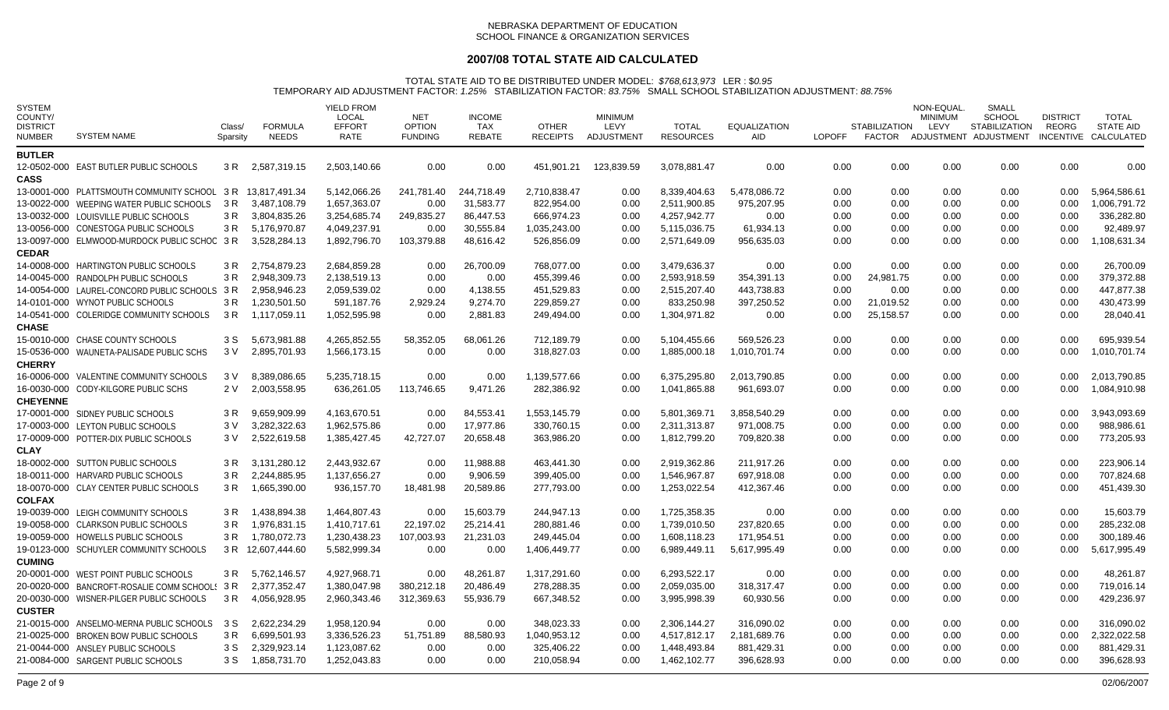## **2007/08 TOTAL STATE AID CALCULATED**

| <b>SYSTEM</b><br>COUNTY/<br><b>DISTRICT</b><br>NUMBER | <b>SYSTEM NAME</b>                        | Class/<br>Sparsity | <b>FORMULA</b><br><b>NEEDS</b> | <b>YIELD FROM</b><br><b>LOCAL</b><br><b>EFFORT</b><br><b>RATE</b> | <b>NET</b><br><b>OPTION</b><br><b>FUNDING</b> | <b>INCOME</b><br>TAX<br>REBATE | <b>OTHER</b><br><b>RECEIPTS</b> | <b>MINIMUM</b><br>LEVY<br>ADJUSTMENT | <b>TOTAL</b><br><b>RESOURCES</b> | <b>EQUALIZATION</b><br>AID. | <b>LOPOFF</b> | <b>STABILIZATION</b><br>FACTOR | NON-EQUAL.<br><b>MINIMUM</b><br>LEVY | <b>SMALL</b><br><b>SCHOOL</b><br><b>STABILIZATION</b><br>ADJUSTMENT ADJUSTMENT | <b>DISTRICT</b><br>REORG | <b>TOTAL</b><br><b>STATE AID</b><br>INCENTIVE CALCULATED |
|-------------------------------------------------------|-------------------------------------------|--------------------|--------------------------------|-------------------------------------------------------------------|-----------------------------------------------|--------------------------------|---------------------------------|--------------------------------------|----------------------------------|-----------------------------|---------------|--------------------------------|--------------------------------------|--------------------------------------------------------------------------------|--------------------------|----------------------------------------------------------|
| <b>BUTLER</b>                                         |                                           |                    |                                |                                                                   |                                               |                                |                                 |                                      |                                  |                             |               |                                |                                      |                                                                                |                          |                                                          |
| <b>CASS</b>                                           | 12-0502-000 EAST BUTLER PUBLIC SCHOOLS    | 3 R                | 2,587,319.15                   | 2,503,140.66                                                      | 0.00                                          | 0.00                           | 451,901.21                      | 123,839.59                           | 3,078,881.47                     | 0.00                        | 0.00          | 0.00                           | 0.00                                 | 0.00                                                                           | 0.00                     | 0.00                                                     |
|                                                       | 13-0001-000 PLATTSMOUTH COMMUNITY SCHOOL  | 3 R                | 13,817,491.34                  | 5,142,066.26                                                      | 241,781.40                                    | 244,718.49                     | 2,710,838.47                    | 0.00                                 | 8,339,404.63                     | 5,478,086.72                | 0.00          | 0.00                           | 0.00                                 | 0.00                                                                           | 0.00                     | 5,964,586.61                                             |
|                                                       | 13-0022-000 WEEPING WATER PUBLIC SCHOOLS  | 3 R                | 3,487,108.79                   | 1,657,363.07                                                      | 0.00                                          | 31,583.77                      | 822,954.00                      | 0.00                                 | 2,511,900.85                     | 975,207.95                  | 0.00          | 0.00                           | 0.00                                 | 0.00                                                                           | 0.00                     | 1,006,791.72                                             |
|                                                       | 13-0032-000 LOUISVILLE PUBLIC SCHOOLS     | 3 R                | 3,804,835.26                   | 3,254,685.74                                                      | 249,835.27                                    | 86,447.53                      | 666,974.23                      | 0.00                                 | 4,257,942.77                     | 0.00                        | 0.00          | 0.00                           | 0.00                                 | 0.00                                                                           | 0.00                     | 336,282.80                                               |
|                                                       | 13-0056-000 CONESTOGA PUBLIC SCHOOLS      | 3 R                | 5,176,970.87                   | 4,049,237.91                                                      | 0.00                                          | 30,555.84                      | 1,035,243.00                    | 0.00                                 | 5,115,036.75                     | 61,934.13                   | 0.00          | 0.00                           | 0.00                                 | 0.00                                                                           | 0.00                     | 92,489.97                                                |
|                                                       | 13-0097-000 ELMWOOD-MURDOCK PUBLIC SCHOC  | 3 R                | 3,528,284.13                   | 1,892,796.70                                                      | 103,379.88                                    | 48,616.42                      | 526,856.09                      | 0.00                                 | 2,571,649.09                     | 956,635.03                  | 0.00          | 0.00                           | 0.00                                 | 0.00                                                                           | 0.00                     | 1,108,631.34                                             |
| <b>CEDAR</b>                                          |                                           |                    |                                |                                                                   |                                               |                                |                                 |                                      |                                  |                             |               |                                |                                      |                                                                                |                          |                                                          |
|                                                       | 14-0008-000 HARTINGTON PUBLIC SCHOOLS     | 3 R                | 2,754,879.23                   | 2,684,859.28                                                      | 0.00                                          | 26,700.09                      | 768,077.00                      | 0.00                                 | 3,479,636.37                     | 0.00                        | 0.00          | 0.00                           | 0.00                                 | 0.00                                                                           | 0.00                     | 26,700.09                                                |
|                                                       | 14-0045-000 RANDOLPH PUBLIC SCHOOLS       | 3 R                | 2,948,309.73                   | 2,138,519.13                                                      | 0.00                                          | 0.00                           | 455,399.46                      | 0.00                                 | 2,593,918.59                     | 354,391.13                  | 0.00          | 24,981.75                      | 0.00                                 | 0.00                                                                           | 0.00                     | 379,372.88                                               |
|                                                       | 14-0054-000 LAUREL-CONCORD PUBLIC SCHOOLS | 3 R                | 2,958,946.23                   | 2,059,539.02                                                      | 0.00                                          | 4,138.55                       | 451,529.83                      | 0.00                                 | 2,515,207.40                     | 443,738.83                  | 0.00          | 0.00                           | 0.00                                 | 0.00                                                                           | 0.00                     | 447,877.38                                               |
|                                                       | 14-0101-000 WYNOT PUBLIC SCHOOLS          | 3 R                | 1,230,501.50                   | 591,187.76                                                        | 2,929.24                                      | 9,274.70                       | 229,859.27                      | 0.00                                 | 833,250.98                       | 397,250.52                  | 0.00          | 21,019.52                      | 0.00                                 | 0.00                                                                           | 0.00                     | 430,473.99                                               |
|                                                       | 14-0541-000 COLERIDGE COMMUNITY SCHOOLS   | 3 R                | 1,117,059.11                   | 1,052,595.98                                                      | 0.00                                          | 2,881.83                       | 249,494.00                      | 0.00                                 | 1,304,971.82                     | 0.00                        | 0.00          | 25,158.57                      | 0.00                                 | 0.00                                                                           | 0.00                     | 28,040.41                                                |
| <b>CHASE</b>                                          |                                           |                    |                                |                                                                   |                                               |                                |                                 |                                      |                                  |                             |               |                                |                                      |                                                                                |                          |                                                          |
|                                                       | 15-0010-000 CHASE COUNTY SCHOOLS          | 3 S                | 5.673.981.88                   | 4.265.852.55                                                      | 58.352.05                                     | 68,061.26                      | 712.189.79                      | 0.00                                 | 5,104,455.66                     | 569.526.23                  | 0.00          | 0.00                           | 0.00                                 | 0.00                                                                           | 0.00                     | 695.939.54                                               |
|                                                       | 15-0536-000 WAUNETA-PALISADE PUBLIC SCHS  | 3 V                | 2,895,701.93                   | 1,566,173.15                                                      | 0.00                                          | 0.00                           | 318,827.03                      | 0.00                                 | 1,885,000.18                     | 1,010,701.74                | 0.00          | 0.00                           | 0.00                                 | 0.00                                                                           | 0.00                     | 1,010,701.74                                             |
| <b>CHERRY</b>                                         |                                           |                    |                                |                                                                   |                                               |                                |                                 |                                      |                                  |                             |               |                                |                                      |                                                                                |                          |                                                          |
|                                                       | 16-0006-000 VALENTINE COMMUNITY SCHOOLS   | 3 V                | 8,389,086.65                   | 5,235,718.15                                                      | 0.00                                          | 0.00                           | 1,139,577.66                    | 0.00                                 | 6,375,295.80                     | 2,013,790.85                | 0.00          | 0.00                           | 0.00                                 | 0.00                                                                           | 0.00                     | 2,013,790.85                                             |
|                                                       | 16-0030-000 CODY-KILGORE PUBLIC SCHS      | 2 V                | 2,003,558.95                   | 636,261.05                                                        | 113,746.65                                    | 9,471.26                       | 282,386.92                      | 0.00                                 | 1,041,865.88                     | 961,693.07                  | 0.00          | 0.00                           | 0.00                                 | 0.00                                                                           | 0.00                     | 1,084,910.98                                             |
| <b>CHEYENNE</b>                                       |                                           |                    |                                |                                                                   |                                               |                                |                                 |                                      |                                  |                             |               |                                |                                      |                                                                                |                          |                                                          |
|                                                       | 17-0001-000 SIDNEY PUBLIC SCHOOLS         | 3 R                | 9,659,909.99                   | 4,163,670.51                                                      | 0.00                                          | 84,553.41                      | 1,553,145.79                    | 0.00                                 | 5,801,369.71                     | 3,858,540.29                | 0.00          | 0.00                           | 0.00                                 | 0.00                                                                           | 0.00                     | 3,943,093.69                                             |
|                                                       | 17-0003-000 LEYTON PUBLIC SCHOOLS         | 3 V                | 3.282.322.63                   | 1,962,575.86                                                      | 0.00                                          | 17,977.86                      | 330,760.15                      | 0.00                                 | 2,311,313.87                     | 971,008.75                  | 0.00          | 0.00                           | 0.00                                 | 0.00                                                                           | 0.00                     | 988,986.61                                               |
|                                                       | 17-0009-000 POTTER-DIX PUBLIC SCHOOLS     | 3 V                | 2,522,619.58                   | 1,385,427.45                                                      | 42,727.07                                     | 20,658.48                      | 363,986.20                      | 0.00                                 | 1,812,799.20                     | 709,820.38                  | 0.00          | 0.00                           | 0.00                                 | 0.00                                                                           | 0.00                     | 773,205.93                                               |
| <b>CLAY</b>                                           |                                           |                    |                                |                                                                   |                                               |                                |                                 |                                      |                                  |                             |               |                                |                                      |                                                                                |                          |                                                          |
|                                                       | 18-0002-000 SUTTON PUBLIC SCHOOLS         | 3 R                | 3,131,280.12                   | 2,443,932.67                                                      | 0.00                                          | 11,988.88                      | 463,441.30                      | 0.00                                 | 2,919,362.86                     | 211,917.26                  | 0.00          | 0.00                           | 0.00                                 | 0.00                                                                           | 0.00                     | 223,906.14                                               |
|                                                       | 18-0011-000 HARVARD PUBLIC SCHOOLS        | 3 R                | 2,244,885.95                   | 1,137,656.27                                                      | 0.00                                          | 9,906.59                       | 399,405.00                      | 0.00                                 | 1,546,967.87                     | 697,918.08                  | 0.00          | 0.00                           | 0.00                                 | 0.00                                                                           | 0.00                     | 707,824.68                                               |
|                                                       | 18-0070-000 CLAY CENTER PUBLIC SCHOOLS    | 3 R                | 1,665,390.00                   | 936,157.70                                                        | 18,481.98                                     | 20,589.86                      | 277,793.00                      | 0.00                                 | 1,253,022.54                     | 412,367.46                  | 0.00          | 0.00                           | 0.00                                 | 0.00                                                                           | 0.00                     | 451,439.30                                               |
| <b>COLFAX</b>                                         |                                           |                    |                                |                                                                   |                                               |                                |                                 |                                      |                                  |                             |               |                                |                                      |                                                                                |                          |                                                          |
|                                                       | 19-0039-000 LEIGH COMMUNITY SCHOOLS       | 3 R                | 1,438,894.38                   | 1.464.807.43                                                      | 0.00                                          | 15.603.79                      | 244.947.13                      | 0.00                                 | 1.725.358.35                     | 0.00                        | 0.00          | 0.00                           | 0.00                                 | 0.00                                                                           | 0.00                     | 15.603.79                                                |
|                                                       | 19-0058-000 CLARKSON PUBLIC SCHOOLS       | 3 R                | 1,976,831.15                   | 1,410,717.61                                                      | 22,197.02                                     | 25,214.41                      | 280,881.46                      | 0.00                                 | 1,739,010.50                     | 237,820.65                  | 0.00          | 0.00                           | 0.00                                 | 0.00                                                                           | 0.00                     | 285,232.08                                               |
|                                                       | 19-0059-000 HOWELLS PUBLIC SCHOOLS        | 3 R                | 1,780,072.73                   | 1,230,438.23<br>5,582,999.34                                      | 107,003.93                                    | 21,231.03                      | 249,445.04                      | 0.00                                 | 1.608.118.23                     | 171,954.51                  | 0.00          | 0.00                           | 0.00                                 | 0.00<br>0.00                                                                   | 0.00<br>0.00             | 300.189.46<br>5,617,995.49                               |
| <b>CUMING</b>                                         | 19-0123-000 SCHUYLER COMMUNITY SCHOOLS    |                    | 3 R 12,607,444.60              |                                                                   | 0.00                                          | 0.00                           | 1,406,449.77                    | 0.00                                 | 6,989,449.11                     | 5,617,995.49                | 0.00          | 0.00                           | 0.00                                 |                                                                                |                          |                                                          |
|                                                       | 20-0001-000 WEST POINT PUBLIC SCHOOLS     | 3 R                |                                | 4,927,968.71                                                      | 0.00                                          | 48,261.87                      |                                 | 0.00                                 | 6,293,522.17                     |                             | 0.00          | 0.00                           |                                      |                                                                                | 0.00                     |                                                          |
|                                                       | 20-0020-000 BANCROFT-ROSALIE COMM SCHOOLS | 3 R                | 5,762,146.57<br>2,377,352.47   | 1,380,047.98                                                      | 380,212.18                                    | 20,486.49                      | 1,317,291.60<br>278,288.35      | 0.00                                 | 2,059,035.00                     | 0.00<br>318,317.47          | 0.00          | 0.00                           | 0.00<br>0.00                         | 0.00<br>0.00                                                                   | 0.00                     | 48,261.87<br>719,016.14                                  |
|                                                       | 20-0030-000 WISNER-PILGER PUBLIC SCHOOLS  | 3 R                | 4,056,928.95                   | 2,960,343.46                                                      | 312,369.63                                    | 55,936.79                      | 667,348.52                      | 0.00                                 | 3,995,998.39                     | 60,930.56                   | 0.00          | 0.00                           | 0.00                                 | 0.00                                                                           | 0.00                     | 429,236.97                                               |
| <b>CUSTER</b>                                         |                                           |                    |                                |                                                                   |                                               |                                |                                 |                                      |                                  |                             |               |                                |                                      |                                                                                |                          |                                                          |
|                                                       | 21-0015-000 ANSELMO-MERNA PUBLIC SCHOOLS  | 3 S                | 2.622.234.29                   | 1.958.120.94                                                      | 0.00                                          | 0.00                           | 348.023.33                      | 0.00                                 | 2.306.144.27                     | 316.090.02                  | 0.00          | 0.00                           | 0.00                                 | 0.00                                                                           | 0.00                     | 316.090.02                                               |
|                                                       | 21-0025-000 BROKEN BOW PUBLIC SCHOOLS     | 3 R                | 6,699,501.93                   | 3,336,526.23                                                      | 51,751.89                                     | 88,580.93                      | 1,040,953.12                    | 0.00                                 | 4,517,812.17                     | 2,181,689.76                | 0.00          | 0.00                           | 0.00                                 | 0.00                                                                           | 0.00                     | 2,322,022.58                                             |
|                                                       | 21-0044-000 ANSLEY PUBLIC SCHOOLS         | 3 S                | 2,329,923.14                   | 1,123,087.62                                                      | 0.00                                          | 0.00                           | 325.406.22                      | 0.00                                 | 1,448,493.84                     | 881,429.31                  | 0.00          | 0.00                           | 0.00                                 | 0.00                                                                           | 0.00                     | 881,429.31                                               |
|                                                       | 21-0084-000 SARGENT PUBLIC SCHOOLS        | 3 S                | 1,858,731.70                   | 1,252,043.83                                                      | 0.00                                          | 0.00                           | 210,058.94                      | 0.00                                 | 1,462,102.77                     | 396,628.93                  | 0.00          | 0.00                           | 0.00                                 | 0.00                                                                           | 0.00                     | 396,628.93                                               |
|                                                       |                                           |                    |                                |                                                                   |                                               |                                |                                 |                                      |                                  |                             |               |                                |                                      |                                                                                |                          |                                                          |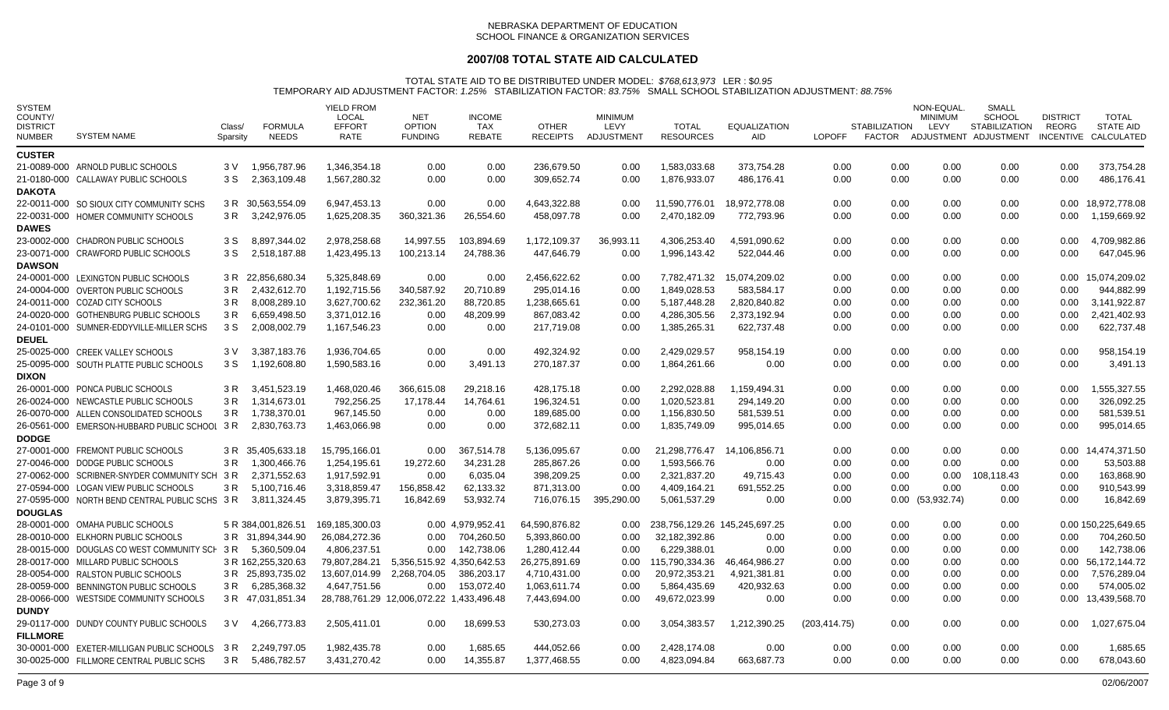## **2007/08 TOTAL STATE AID CALCULATED**

| <b>SYSTEM</b><br>COUNTY/<br><b>DISTRICT</b><br><b>NUMBER</b> | <b>SYSTEM NAME</b>                             | Class/<br>Sparsity | <b>FORMULA</b><br><b>NEEDS</b> | <b>YIELD FROM</b><br><b>LOCAL</b><br><b>EFFORT</b><br>RATE | <b>NET</b><br><b>OPTION</b><br><b>FUNDING</b> | <b>INCOME</b><br>TAX<br><b>REBATE</b> | <b>OTHER</b><br><b>RECEIPTS</b> | <b>MINIMUM</b><br>LEVY<br>ADJUSTMENT | <b>TOTAL</b><br><b>RESOURCES</b> | <b>EQUALIZATION</b><br><b>AID</b> | <b>LOPOFF</b> | <b>STABILIZATION</b> | NON-EQUAL<br><b>MINIMUM</b><br>LEVY | SMALL<br><b>SCHOOL</b><br><b>STABILIZATION</b><br>FACTOR ADJUSTMENT ADJUSTMENT | <b>DISTRICT</b><br>REORG | <b>TOTAL</b><br><b>STATE AID</b><br>INCENTIVE CALCULATED |
|--------------------------------------------------------------|------------------------------------------------|--------------------|--------------------------------|------------------------------------------------------------|-----------------------------------------------|---------------------------------------|---------------------------------|--------------------------------------|----------------------------------|-----------------------------------|---------------|----------------------|-------------------------------------|--------------------------------------------------------------------------------|--------------------------|----------------------------------------------------------|
| <b>CUSTER</b>                                                |                                                |                    |                                |                                                            |                                               |                                       |                                 |                                      |                                  |                                   |               |                      |                                     |                                                                                |                          |                                                          |
|                                                              | 21-0089-000 ARNOLD PUBLIC SCHOOLS              | 3 V                | 1,956,787.96                   | 1,346,354.18                                               | 0.00                                          | 0.00                                  | 236,679.50                      | 0.00                                 | 1,583,033.68                     | 373,754.28                        | 0.00          | 0.00                 | 0.00                                | 0.00                                                                           | 0.00                     | 373,754.28                                               |
|                                                              | 21-0180-000 CALLAWAY PUBLIC SCHOOLS            | 3 S                | 2.363.109.48                   | 1.567.280.32                                               | 0.00                                          | 0.00                                  | 309.652.74                      | 0.00                                 | 1,876,933.07                     | 486.176.41                        | 0.00          | 0.00                 | 0.00                                | 0.00                                                                           | 0.00                     | 486.176.41                                               |
| <b>DAKOTA</b>                                                |                                                |                    |                                |                                                            |                                               |                                       |                                 |                                      |                                  |                                   |               |                      |                                     |                                                                                |                          |                                                          |
|                                                              | 22-0011-000 SO SIOUX CITY COMMUNITY SCHS       |                    | 3 R 30.563.554.09              | 6.947.453.13                                               | 0.00                                          | 0.00                                  | 4.643.322.88                    | 0.00                                 | 11.590.776.01                    | 18.972.778.08                     | 0.00          | 0.00                 | 0.00                                | 0.00                                                                           | 0.00                     | 18.972.778.08                                            |
|                                                              | 22-0031-000 HOMER COMMUNITY SCHOOLS            | 3 R                | 3,242,976.05                   | 1,625,208.35                                               | 360,321.36                                    | 26,554.60                             | 458,097.78                      | 0.00                                 | 2,470,182.09                     | 772,793.96                        | 0.00          | 0.00                 | 0.00                                | 0.00                                                                           | 0.00                     | 1,159,669.92                                             |
| <b>DAWES</b>                                                 |                                                |                    |                                |                                                            |                                               |                                       |                                 |                                      |                                  |                                   |               |                      |                                     |                                                                                |                          |                                                          |
|                                                              | 23-0002-000 CHADRON PUBLIC SCHOOLS             | 3 S                | 8,897,344.02                   | 2,978,258.68                                               | 14,997.55                                     | 103,894.69                            | 1,172,109.37                    | 36,993.11                            | 4,306,253.40                     | 4,591,090.62                      | 0.00          | 0.00                 | 0.00                                | 0.00                                                                           | 0.00                     | 4,709,982.86                                             |
|                                                              | 23-0071-000 CRAWFORD PUBLIC SCHOOLS            | 3 S                | 2,518,187.88                   | 1,423,495.13                                               | 100,213.14                                    | 24,788.36                             | 447,646.79                      | 0.00                                 | 1,996,143.42                     | 522,044.46                        | 0.00          | 0.00                 | 0.00                                | 0.00                                                                           | 0.00                     | 647,045.96                                               |
| <b>DAWSON</b>                                                |                                                |                    |                                |                                                            |                                               |                                       |                                 |                                      |                                  |                                   |               |                      |                                     |                                                                                |                          |                                                          |
|                                                              | 24-0001-000 LEXINGTON PUBLIC SCHOOLS           |                    | 3 R 22,856,680.34              | 5,325,848.69                                               | 0.00                                          | 0.00                                  | 2,456,622.62                    | 0.00                                 | 7,782,471.32                     | 15,074,209.02                     | 0.00          | 0.00                 | 0.00                                | 0.00                                                                           | 0.00                     | 15,074,209.02                                            |
|                                                              | 24-0004-000 OVERTON PUBLIC SCHOOLS             | 3 R                | 2,432,612.70                   | 1,192,715.56                                               | 340,587.92                                    | 20,710.89                             | 295,014.16                      | 0.00                                 | 1,849,028.53                     | 583,584.17                        | 0.00          | 0.00                 | 0.00                                | 0.00                                                                           | 0.00                     | 944,882.99                                               |
|                                                              | 24-0011-000 COZAD CITY SCHOOLS                 | 3 R                | 8,008,289.10                   | 3,627,700.62                                               | 232,361.20                                    | 88,720.85                             | 1,238,665.61                    | 0.00                                 | 5,187,448.28                     | 2,820,840.82                      | 0.00          | 0.00                 | 0.00                                | 0.00                                                                           | 0.00                     | 3,141,922.87                                             |
|                                                              | 24-0020-000 GOTHENBURG PUBLIC SCHOOLS          | 3 R                | 6,659,498.50                   | 3,371,012.16                                               | 0.00                                          | 48,209.99                             | 867,083.42                      | 0.00                                 | 4.286.305.56                     | 2,373,192.94                      | 0.00          | 0.00                 | 0.00                                | 0.00                                                                           | 0.00                     | 2,421,402.93                                             |
|                                                              | 24-0101-000 SUMNER-EDDYVILLE-MILLER SCHS       | 3 S                | 2,008,002.79                   | 1,167,546.23                                               | 0.00                                          | 0.00                                  | 217,719.08                      | 0.00                                 | 1,385,265.31                     | 622,737.48                        | 0.00          | 0.00                 | 0.00                                | 0.00                                                                           | 0.00                     | 622,737.48                                               |
| <b>DEUEL</b>                                                 |                                                |                    |                                |                                                            |                                               |                                       |                                 |                                      |                                  |                                   |               |                      |                                     |                                                                                |                          |                                                          |
|                                                              | 25-0025-000 CREEK VALLEY SCHOOLS               | 3 V                | 3,387,183.76                   | 1,936,704.65                                               | 0.00                                          | 0.00                                  | 492,324.92                      | 0.00                                 | 2,429,029.57                     | 958,154.19                        | 0.00          | 0.00                 | 0.00                                | 0.00                                                                           | 0.00                     | 958,154.19                                               |
|                                                              | 25-0095-000 SOUTH PLATTE PUBLIC SCHOOLS        | 3 S                | 1,192,608.80                   | 1,590,583.16                                               | 0.00                                          | 3,491.13                              | 270,187.37                      | 0.00                                 | 1,864,261.66                     | 0.00                              | 0.00          | 0.00                 | 0.00                                | 0.00                                                                           | 0.00                     | 3,491.13                                                 |
| <b>DIXON</b>                                                 |                                                |                    |                                |                                                            |                                               |                                       |                                 |                                      |                                  |                                   |               |                      |                                     |                                                                                |                          |                                                          |
|                                                              | 26-0001-000 PONCA PUBLIC SCHOOLS               | 3 R                | 3,451,523.19                   | 1,468,020.46                                               | 366,615.08                                    | 29,218.16                             | 428,175.18                      | 0.00                                 | 2,292,028.88                     | 1,159,494.31                      | 0.00          | 0.00                 | 0.00                                | 0.00                                                                           | 0.00                     | 1,555,327.55                                             |
|                                                              | 26-0024-000 NEWCASTLE PUBLIC SCHOOLS           | 3 R                | 1,314,673.01                   | 792,256.25                                                 | 17,178.44                                     | 14,764.61                             | 196,324.51                      | 0.00                                 | 1.020.523.81                     | 294.149.20                        | 0.00          | 0.00                 | 0.00                                | 0.00                                                                           | 0.00                     | 326.092.25                                               |
|                                                              | 26-0070-000 ALLEN CONSOLIDATED SCHOOLS         | 3 R                | 1,738,370.01                   | 967,145.50                                                 | 0.00                                          | 0.00                                  | 189,685.00                      | 0.00                                 | 1,156,830.50                     | 581,539.51                        | 0.00          | 0.00                 | 0.00                                | 0.00                                                                           | 0.00                     | 581,539.51                                               |
|                                                              | 26-0561-000 EMERSON-HUBBARD PUBLIC SCHOOL      | 3 R                | 2.830.763.73                   | 1,463,066.98                                               | 0.00                                          | 0.00                                  | 372.682.11                      | 0.00                                 | 1,835,749.09                     | 995,014.65                        | 0.00          | 0.00                 | 0.00                                | 0.00                                                                           | 0.00                     | 995,014.65                                               |
| <b>DODGE</b>                                                 |                                                |                    |                                |                                                            |                                               |                                       |                                 |                                      |                                  |                                   |               |                      |                                     |                                                                                |                          |                                                          |
|                                                              | 27-0001-000 FREMONT PUBLIC SCHOOLS             | 3 R                | 35,405,633.18                  | 15,795,166.01                                              | 0.00                                          | 367,514.78                            | 5,136,095.67                    | 0.00                                 | 21,298,776.47                    | 14,106,856.71                     | 0.00          | 0.00                 | 0.00                                | 0.00                                                                           | 0.00                     | 14,474,371.50                                            |
|                                                              | 27-0046-000 DODGE PUBLIC SCHOOLS               | 3 R                | 1,300,466.76                   | 1,254,195.61                                               | 19,272.60                                     | 34,231.28                             | 285,867.26                      | 0.00                                 | 1,593,566.76                     | 0.00                              | 0.00          | 0.00                 | 0.00                                | 0.00                                                                           | 0.00                     | 53,503.88                                                |
|                                                              | 27-0062-000 SCRIBNER-SNYDER COMMUNITY SCH      | 3 R                | 2,371,552.63                   | 1,917,592.91                                               | 0.00                                          | 6,035.04                              | 398,209.25                      | 0.00                                 | 2,321,837.20                     | 49,715.43                         | 0.00          | 0.00                 | 0.00                                | 108,118.43                                                                     | 0.00                     | 163,868.90                                               |
|                                                              | 27-0594-000 LOGAN VIEW PUBLIC SCHOOLS          | 3 R                | 5,100,716.46                   | 3,318,859.47                                               | 156,858.42                                    | 62,133.32                             | 871,313.00                      | 0.00                                 | 4,409,164.21                     | 691,552.25                        | 0.00          | 0.00                 | 0.00                                | 0.00                                                                           | 0.00                     | 910,543.99                                               |
|                                                              | 27-0595-000 NORTH BEND CENTRAL PUBLIC SCHS 3 R |                    | 3,811,324.45                   | 3,879,395.71                                               | 16,842.69                                     | 53,932.74                             | 716,076.15                      | 395,290.00                           | 5,061,537.29                     | 0.00                              | 0.00          | $0.00\,$             | (53, 932.74)                        | 0.00                                                                           | 0.00                     | 16,842.69                                                |
| <b>DOUGLAS</b>                                               |                                                |                    |                                |                                                            |                                               |                                       |                                 |                                      |                                  |                                   |               |                      |                                     |                                                                                |                          |                                                          |
|                                                              | 28-0001-000 OMAHA PUBLIC SCHOOLS               |                    | 5 R 384,001,826.51             | 169,185,300.03                                             |                                               | 0.00 4.979.952.41                     | 64,590,876.82                   | 0.00                                 | 238,756,129.26 145,245,697.25    |                                   | 0.00          | 0.00                 | 0.00                                | 0.00                                                                           |                          | 0.00 150,225,649.65                                      |
|                                                              | 28-0010-000 ELKHORN PUBLIC SCHOOLS             |                    | 3 R 31,894,344.90              | 26,084,272.36                                              | 0.00                                          | 704,260.50                            | 5,393,860.00                    | 0.00                                 | 32,182,392.86                    | 0.00                              | 0.00          | 0.00                 | 0.00                                | 0.00                                                                           | 0.00                     | 704,260.50                                               |
|                                                              | 28-0015-000 DOUGLAS CO WEST COMMUNITY SCH      | 3 R                | 5,360,509.04                   | 4,806,237.51                                               | 0.00                                          | 142,738.06                            | 1,280,412.44                    | 0.00                                 | 6,229,388.01                     | 0.00                              | 0.00          | 0.00                 | 0.00                                | 0.00                                                                           | 0.00                     | 142,738.06                                               |
|                                                              | 28-0017-000 MILLARD PUBLIC SCHOOLS             |                    | 3 R 162,255,320.63             | 79,807,284.21                                              | 5,356,515.92 4,350,642.53                     |                                       | 26,275,891.69                   | $0.00\,$                             | 115,790,334.36                   | 46,464,986.27                     | 0.00          | 0.00                 | 0.00                                | 0.00                                                                           | 0.00                     | 56,172,144.72                                            |
|                                                              | 28-0054-000 RALSTON PUBLIC SCHOOLS             |                    | 3 R 25,893,735.02              | 13,607,014.99                                              | 2,268,704.05                                  | 386,203.17                            | 4,710,431.00                    | 0.00                                 | 20,972,353.21                    | 4,921,381.81                      | 0.00          | 0.00                 | 0.00                                | 0.00                                                                           | 0.00                     | 7,576,289.04                                             |
|                                                              | 28-0059-000 BENNINGTON PUBLIC SCHOOLS          | 3 R                | 6,285,368.32                   | 4,647,751.56                                               | 0.00                                          | 153,072.40                            | 1,063,611.74                    | 0.00                                 | 5,864,435.69                     | 420,932.63                        | 0.00          | 0.00                 | 0.00                                | 0.00                                                                           | 0.00                     | 574,005.02                                               |
|                                                              | 28-0066-000 WESTSIDE COMMUNITY SCHOOLS         |                    | 3 R 47,031,851.34              | 28,788,761.29 12,006,072.22 1,433,496.48                   |                                               |                                       | 7,443,694.00                    | 0.00                                 | 49,672,023.99                    | 0.00                              | 0.00          | 0.00                 | 0.00                                | 0.00                                                                           |                          | 0.00 13,439,568.70                                       |
| <b>DUNDY</b>                                                 |                                                |                    |                                |                                                            |                                               |                                       |                                 |                                      |                                  |                                   |               |                      |                                     |                                                                                |                          |                                                          |
|                                                              | 29-0117-000 DUNDY COUNTY PUBLIC SCHOOLS        | 3 V                | 4.266.773.83                   | 2,505,411.01                                               | 0.00                                          | 18,699.53                             | 530,273.03                      | 0.00                                 | 3,054,383.57                     | 1,212,390.25                      | (203, 414.75) | 0.00                 | 0.00                                | 0.00                                                                           | 0.00                     | 1,027,675.04                                             |
| <b>FILLMORE</b>                                              |                                                |                    |                                |                                                            |                                               |                                       |                                 |                                      |                                  |                                   |               |                      |                                     |                                                                                |                          |                                                          |
|                                                              | 30-0001-000 EXETER-MILLIGAN PUBLIC SCHOOLS     | 3 R                | 2,249,797.05                   | 1,982,435.78                                               | 0.00                                          | 1,685.65                              | 444,052.66                      | 0.00                                 | 2,428,174.08                     | 0.00                              | 0.00          | 0.00                 | 0.00                                | 0.00                                                                           | 0.00                     | 1,685.65                                                 |
|                                                              | 30-0025-000 FILLMORE CENTRAL PUBLIC SCHS       | 3 R                | 5,486,782.57                   | 3,431,270.42                                               | 0.00                                          | 14,355.87                             | 1,377,468.55                    | 0.00                                 | 4,823,094.84                     | 663,687.73                        | 0.00          | 0.00                 | 0.00                                | 0.00                                                                           | 0.00                     | 678,043.60                                               |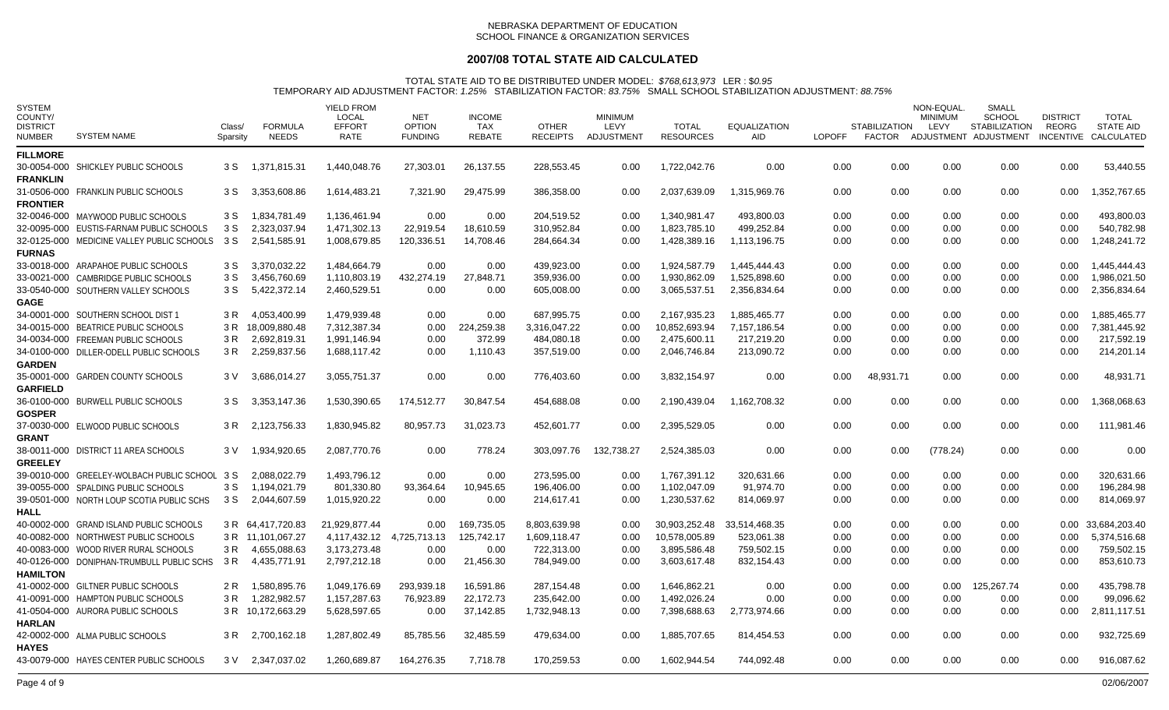## **2007/08 TOTAL STATE AID CALCULATED**

| <b>SYSTEM</b><br>COUNTY/<br><b>DISTRICT</b><br><b>NUMBER</b> | <b>SYSTEM NAME</b>                         | Class/<br>Sparsity | <b>FORMULA</b><br><b>NEEDS</b> | <b>YIELD FROM</b><br><b>LOCAL</b><br><b>EFFORT</b><br><b>RATE</b> | <b>NET</b><br><b>OPTION</b><br><b>FUNDING</b> | <b>INCOME</b><br>TAX<br><b>REBATE</b> | <b>OTHER</b><br><b>RECEIPTS</b> | <b>MINIMUM</b><br>LEVY<br>ADJUSTMENT | <b>TOTAL</b><br><b>RESOURCES</b> | <b>EQUALIZATION</b><br><b>AID</b> | <b>LOPOFF</b> | <b>STABILIZATION</b><br>FACTOR | NON-EQUAL.<br>MINIMUM<br>LEVY | SMALL<br><b>SCHOOL</b><br><b>STABILIZATION</b><br>ADJUSTMENT ADJUSTMENT | <b>DISTRICT</b><br>REORG | <b>TOTAL</b><br><b>STATE AID</b><br>INCENTIVE CALCULATED |
|--------------------------------------------------------------|--------------------------------------------|--------------------|--------------------------------|-------------------------------------------------------------------|-----------------------------------------------|---------------------------------------|---------------------------------|--------------------------------------|----------------------------------|-----------------------------------|---------------|--------------------------------|-------------------------------|-------------------------------------------------------------------------|--------------------------|----------------------------------------------------------|
| <b>FILLMORE</b>                                              |                                            |                    |                                |                                                                   |                                               |                                       |                                 |                                      |                                  |                                   |               |                                |                               |                                                                         |                          |                                                          |
|                                                              | 30-0054-000 SHICKLEY PUBLIC SCHOOLS        | 3 S                | 1,371,815.31                   | 1,440,048.76                                                      | 27,303.01                                     | 26,137.55                             | 228,553.45                      | 0.00                                 | 1,722,042.76                     | 0.00                              | 0.00          | 0.00                           | 0.00                          | 0.00                                                                    | 0.00                     | 53,440.55                                                |
| <b>FRANKLIN</b>                                              |                                            |                    |                                |                                                                   |                                               |                                       |                                 |                                      |                                  |                                   |               |                                |                               |                                                                         |                          |                                                          |
|                                                              | 31-0506-000 FRANKLIN PUBLIC SCHOOLS        | 3 S                | 3,353,608.86                   | 1,614,483.21                                                      | 7,321.90                                      | 29,475.99                             | 386,358.00                      | 0.00                                 | 2,037,639.09                     | 1,315,969.76                      | 0.00          | 0.00                           | 0.00                          | 0.00                                                                    | 0.00                     | 1,352,767.65                                             |
| <b>FRONTIER</b>                                              |                                            |                    |                                |                                                                   |                                               |                                       |                                 |                                      |                                  |                                   |               |                                |                               |                                                                         |                          |                                                          |
|                                                              | 32-0046-000 MAYWOOD PUBLIC SCHOOLS         | 3 S                | 1,834,781.49                   | 1,136,461.94                                                      | 0.00                                          | 0.00                                  | 204,519.52                      | 0.00                                 | 1,340,981.47                     | 493,800.03                        | 0.00          | 0.00                           | 0.00                          | 0.00                                                                    | 0.00                     | 493,800.03                                               |
|                                                              | 32-0095-000 EUSTIS-FARNAM PUBLIC SCHOOLS   | 3 S                | 2,323,037.94                   | 1,471,302.13                                                      | 22,919.54                                     | 18,610.59                             | 310,952.84                      | 0.00                                 | 1,823,785.10                     | 499,252.84                        | 0.00          | 0.00                           | 0.00                          | 0.00                                                                    | 0.00                     | 540,782.98                                               |
|                                                              | 32-0125-000 MEDICINE VALLEY PUBLIC SCHOOLS | 3 S                | 2,541,585.91                   | 1,008,679.85                                                      | 120,336.51                                    | 14,708.46                             | 284,664.34                      | 0.00                                 | 1,428,389.16                     | 1,113,196.75                      | 0.00          | 0.00                           | 0.00                          | 0.00                                                                    | 0.00                     | 1,248,241.72                                             |
| <b>FURNAS</b>                                                |                                            |                    |                                |                                                                   |                                               |                                       |                                 |                                      |                                  |                                   |               |                                |                               |                                                                         |                          |                                                          |
|                                                              | 33-0018-000 ARAPAHOE PUBLIC SCHOOLS        | 3 S                | 3,370,032.22                   | 1,484,664.79                                                      | 0.00                                          | 0.00                                  | 439,923.00                      | 0.00                                 | 1,924,587.79                     | 1,445,444.43                      | 0.00          | 0.00                           | 0.00                          | 0.00                                                                    | 0.00                     | 1,445,444.43                                             |
|                                                              | 33-0021-000 CAMBRIDGE PUBLIC SCHOOLS       | 3 S                | 3,456,760.69                   | 1,110,803.19                                                      | 432,274.19                                    | 27,848.71                             | 359,936.00                      | 0.00                                 | 1,930,862.09                     | 1,525,898.60                      | 0.00          | 0.00                           | 0.00                          | 0.00                                                                    | 0.00                     | 1,986,021.50                                             |
|                                                              | 33-0540-000 SOUTHERN VALLEY SCHOOLS        | 3 S                | 5,422,372.14                   | 2,460,529.51                                                      | 0.00                                          | 0.00                                  | 605,008.00                      | 0.00                                 | 3,065,537.51                     | 2,356,834.64                      | 0.00          | 0.00                           | 0.00                          | 0.00                                                                    | 0.00                     | 2,356,834.64                                             |
| <b>GAGE</b>                                                  |                                            |                    |                                |                                                                   |                                               |                                       |                                 |                                      |                                  |                                   |               |                                |                               |                                                                         |                          |                                                          |
|                                                              | 34-0001-000 SOUTHERN SCHOOL DIST 1         | 3 R                | 4,053,400.99                   | 1,479,939.48                                                      | 0.00                                          | 0.00                                  | 687,995.75                      | 0.00                                 | 2,167,935.23                     | 1,885,465.77                      | 0.00          | 0.00                           | 0.00                          | 0.00                                                                    | 0.00                     | 1,885,465.77                                             |
|                                                              | 34-0015-000 BEATRICE PUBLIC SCHOOLS        | 3 R                | 18,009,880.48                  | 7,312,387.34                                                      | 0.00                                          | 224,259.38                            | 3,316,047.22                    | $0.00\,$                             | 10,852,693.94                    | 7,157,186.54                      | 0.00          | 0.00                           | 0.00                          | 0.00                                                                    | 0.00                     | 7,381,445.92                                             |
|                                                              | 34-0034-000 FREEMAN PUBLIC SCHOOLS         | 3 R                | 2,692,819.31                   | 1,991,146.94                                                      | 0.00                                          | 372.99                                | 484,080.18                      | 0.00                                 | 2,475,600.11                     | 217,219.20                        | 0.00          | 0.00                           | 0.00                          | 0.00                                                                    | 0.00                     | 217,592.19                                               |
|                                                              | 34-0100-000 DILLER-ODELL PUBLIC SCHOOLS    | 3 R                | 2,259,837.56                   | 1,688,117.42                                                      | 0.00                                          | 1,110.43                              | 357,519.00                      | 0.00                                 | 2,046,746.84                     | 213,090.72                        | 0.00          | 0.00                           | 0.00                          | 0.00                                                                    | 0.00                     | 214,201.14                                               |
| <b>GARDEN</b>                                                |                                            |                    |                                |                                                                   |                                               |                                       |                                 |                                      |                                  |                                   |               |                                |                               |                                                                         |                          |                                                          |
|                                                              | 35-0001-000 GARDEN COUNTY SCHOOLS          | 3 V                | 3,686,014.27                   | 3,055,751.37                                                      | 0.00                                          | 0.00                                  | 776,403.60                      | 0.00                                 | 3,832,154.97                     | 0.00                              | 0.00          | 48,931.71                      | 0.00                          | 0.00                                                                    | 0.00                     | 48,931.71                                                |
| <b>GARFIELD</b>                                              |                                            |                    |                                |                                                                   |                                               | 30,847.54                             |                                 |                                      | 2,190,439.04                     |                                   |               | 0.00                           |                               | 0.00                                                                    |                          |                                                          |
| <b>GOSPER</b>                                                | 36-0100-000 BURWELL PUBLIC SCHOOLS         | 3 S                | 3,353,147.36                   | 1,530,390.65                                                      | 174,512.77                                    |                                       | 454,688.08                      | 0.00                                 |                                  | 1,162,708.32                      | 0.00          |                                | 0.00                          |                                                                         | 0.00                     | 1,368,068.63                                             |
|                                                              | 37-0030-000 ELWOOD PUBLIC SCHOOLS          | 3 R                | 2,123,756.33                   | 1,830,945.82                                                      | 80,957.73                                     | 31,023.73                             | 452,601.77                      | 0.00                                 | 2,395,529.05                     | 0.00                              | 0.00          | 0.00                           | 0.00                          | 0.00                                                                    | 0.00                     | 111,981.46                                               |
| <b>GRANT</b>                                                 |                                            |                    |                                |                                                                   |                                               |                                       |                                 |                                      |                                  |                                   |               |                                |                               |                                                                         |                          |                                                          |
|                                                              | 38-0011-000 DISTRICT 11 AREA SCHOOLS       | 3 V                | 1,934,920.65                   | 2,087,770.76                                                      | 0.00                                          | 778.24                                | 303,097.76                      | 132,738.27                           | 2,524,385.03                     | 0.00                              | 0.00          | 0.00                           | (778.24)                      | 0.00                                                                    | 0.00                     | 0.00                                                     |
| <b>GREELEY</b>                                               |                                            |                    |                                |                                                                   |                                               |                                       |                                 |                                      |                                  |                                   |               |                                |                               |                                                                         |                          |                                                          |
|                                                              | 39-0010-000 GREELEY-WOLBACH PUBLIC SCHOOL  | 3 S                | 2,088,022.79                   | 1,493,796.12                                                      | 0.00                                          | 0.00                                  | 273,595.00                      | 0.00                                 | 1,767,391.12                     | 320,631.66                        | 0.00          | 0.00                           | 0.00                          | 0.00                                                                    | 0.00                     | 320,631.66                                               |
|                                                              | 39-0055-000 SPALDING PUBLIC SCHOOLS        | 3 S                | 1,194,021.79                   | 801,330.80                                                        | 93,364.64                                     | 10,945.65                             | 196,406.00                      | 0.00                                 | 1,102,047.09                     | 91,974.70                         | 0.00          | 0.00                           | 0.00                          | 0.00                                                                    | 0.00                     | 196,284.98                                               |
|                                                              | 39-0501-000 NORTH LOUP SCOTIA PUBLIC SCHS  | 3 S                | 2,044,607.59                   | 1,015,920.22                                                      | 0.00                                          | 0.00                                  | 214,617.41                      | 0.00                                 | 1,230,537.62                     | 814,069.97                        | 0.00          | 0.00                           | 0.00                          | 0.00                                                                    | 0.00                     | 814,069.97                                               |
| HALL                                                         |                                            |                    |                                |                                                                   |                                               |                                       |                                 |                                      |                                  |                                   |               |                                |                               |                                                                         |                          |                                                          |
|                                                              | 40-0002-000 GRAND ISLAND PUBLIC SCHOOLS    |                    | 3 R 64.417.720.83              | 21.929.877.44                                                     | 0.00                                          | 169.735.05                            | 8.803.639.98                    | 0.00                                 | 30.903.252.48                    | 33.514.468.35                     | 0.00          | 0.00                           | 0.00                          | 0.00                                                                    |                          | 0.00 33.684.203.40                                       |
|                                                              | 40-0082-000 NORTHWEST PUBLIC SCHOOLS       |                    | 3 R 11,101,067.27              | 4,117,432.12                                                      | 4,725,713.13                                  | 125,742.17                            | 1,609,118.47                    | $0.00\,$                             | 10.578.005.89                    | 523,061.38                        | 0.00          | 0.00                           | 0.00                          | 0.00                                                                    | 0.00                     | 5,374,516.68                                             |
|                                                              | 40-0083-000 WOOD RIVER RURAL SCHOOLS       | 3 R                | 4,655,088.63                   | 3,173,273.48                                                      | 0.00                                          | 0.00                                  | 722,313.00                      | 0.00                                 | 3,895,586.48                     | 759,502.15                        | 0.00          | 0.00                           | 0.00                          | 0.00                                                                    | 0.00                     | 759,502.15                                               |
|                                                              | 40-0126-000 DONIPHAN-TRUMBULL PUBLIC SCHS  |                    | 3 R 4,435,771.91               | 2,797,212.18                                                      | 0.00                                          | 21,456.30                             | 784,949.00                      | 0.00                                 | 3,603,617.48                     | 832,154.43                        | 0.00          | 0.00                           | 0.00                          | 0.00                                                                    | 0.00                     | 853,610.73                                               |
| <b>HAMILTON</b>                                              |                                            |                    |                                |                                                                   |                                               |                                       |                                 |                                      |                                  |                                   |               |                                |                               |                                                                         |                          |                                                          |
|                                                              | 41-0002-000 GILTNER PUBLIC SCHOOLS         | 2 R                | 1,580,895.76                   | 1,049,176.69                                                      | 293,939.18                                    | 16,591.86                             | 287,154.48                      | 0.00                                 | 1,646,862.21                     | 0.00                              | 0.00          | 0.00                           | $0.00\,$                      | 125,267.74                                                              | 0.00                     | 435,798.78                                               |
|                                                              | 41-0091-000 HAMPTON PUBLIC SCHOOLS         | 3 R                | 1,282,982.57                   | 1,157,287.63                                                      | 76,923.89                                     | 22,172.73                             | 235,642.00                      | 0.00                                 | 1.492.026.24                     | 0.00                              | 0.00          | 0.00                           | 0.00                          | 0.00                                                                    | 0.00                     | 99.096.62                                                |
|                                                              | 41-0504-000 AURORA PUBLIC SCHOOLS          |                    | 3 R 10,172,663.29              | 5,628,597.65                                                      | 0.00                                          | 37,142.85                             | 1,732,948.13                    | 0.00                                 | 7,398,688.63                     | 2,773,974.66                      | 0.00          | 0.00                           | 0.00                          | 0.00                                                                    | 0.00                     | 2,811,117.51                                             |
| <b>HARLAN</b>                                                |                                            |                    |                                |                                                                   |                                               |                                       |                                 |                                      |                                  |                                   |               |                                |                               |                                                                         |                          |                                                          |
| <b>HAYES</b>                                                 | 42-0002-000 ALMA PUBLIC SCHOOLS            | 3 R                | 2,700,162.18                   | 1,287,802.49                                                      | 85,785.56                                     | 32,485.59                             | 479,634.00                      | 0.00                                 | 1,885,707.65                     | 814,454.53                        | 0.00          | 0.00                           | 0.00                          | 0.00                                                                    | 0.00                     | 932,725.69                                               |
|                                                              | 43-0079-000 HAYES CENTER PUBLIC SCHOOLS    |                    | 3 V 2,347,037.02               | 1,260,689.87                                                      | 164,276.35                                    | 7.718.78                              | 170.259.53                      | 0.00                                 | 1,602,944.54                     | 744.092.48                        | 0.00          | 0.00                           | 0.00                          | 0.00                                                                    | 0.00                     | 916,087.62                                               |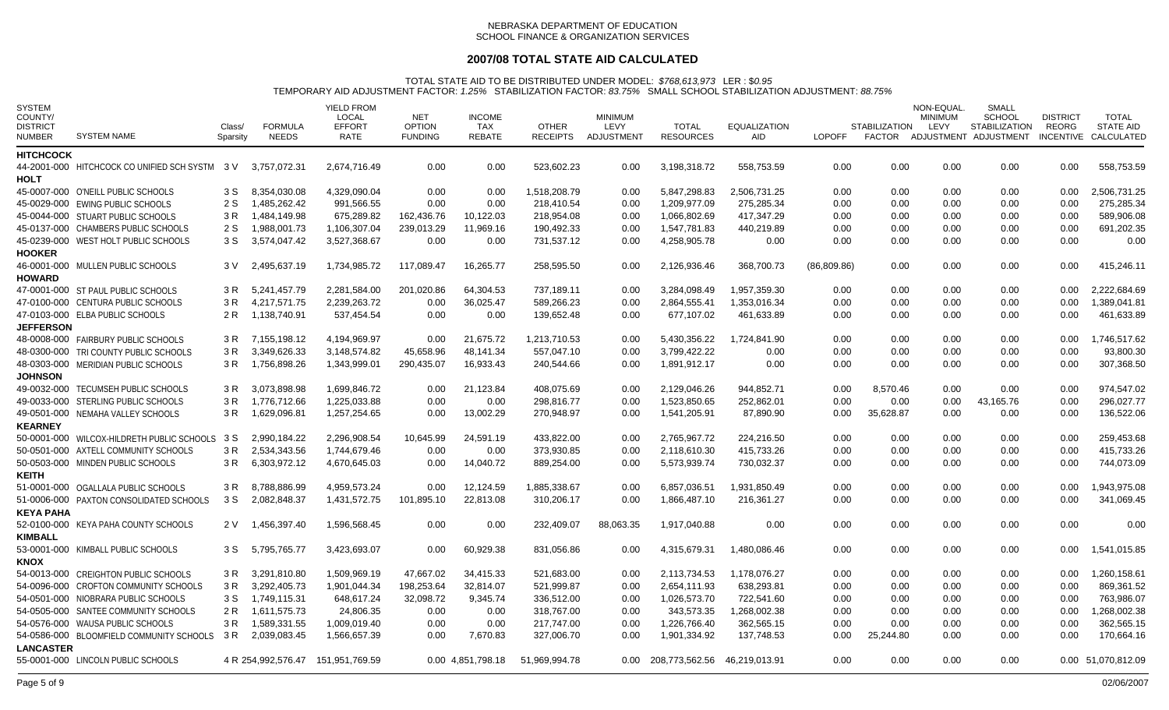## **2007/08 TOTAL STATE AID CALCULATED**

| <b>SYSTEM</b><br>COUNTY/<br><b>DISTRICT</b><br><b>NUMBER</b> | <b>SYSTEM NAME</b>                             | Class/<br>Sparsity | <b>FORMULA</b><br><b>NEEDS</b> | <b>YIELD FROM</b><br><b>LOCAL</b><br><b>EFFORT</b><br><b>RATE</b> | <b>NET</b><br><b>OPTION</b><br><b>FUNDING</b> | <b>INCOME</b><br>TAX<br><b>REBATE</b> | <b>OTHER</b><br><b>RECEIPTS</b> | <b>MINIMUM</b><br><b>LEVY</b><br>ADJUSTMENT | <b>TOTAL</b><br><b>RESOURCES</b>  | <b>EQUALIZATION</b><br><b>AID</b> | <b>LOPOFF</b> | <b>STABILIZATION</b><br>FACTOR | NON-EQUAL<br><b>MINIMUM</b><br>LEVY | SMALL<br><b>SCHOOL</b><br><b>STABILIZATION</b><br>ADJUSTMENT ADJUSTMENT | <b>DISTRICT</b><br><b>REORG</b> | <b>TOTAL</b><br><b>STATE AID</b><br>INCENTIVE CALCULATED |
|--------------------------------------------------------------|------------------------------------------------|--------------------|--------------------------------|-------------------------------------------------------------------|-----------------------------------------------|---------------------------------------|---------------------------------|---------------------------------------------|-----------------------------------|-----------------------------------|---------------|--------------------------------|-------------------------------------|-------------------------------------------------------------------------|---------------------------------|----------------------------------------------------------|
| <b>HITCHCOCK</b>                                             |                                                |                    |                                |                                                                   |                                               |                                       |                                 |                                             |                                   |                                   |               |                                |                                     |                                                                         |                                 |                                                          |
|                                                              | 44-2001-000 HITCHCOCK CO UNIFIED SCH SYSTM 3 V |                    | 3,757,072.31                   | 2,674,716.49                                                      | 0.00                                          | 0.00                                  | 523,602.23                      | 0.00                                        | 3,198,318.72                      | 558,753.59                        | 0.00          | 0.00                           | 0.00                                | 0.00                                                                    | 0.00                            | 558,753.59                                               |
| <b>HOLT</b>                                                  |                                                |                    |                                |                                                                   |                                               |                                       |                                 |                                             |                                   |                                   |               |                                |                                     |                                                                         |                                 |                                                          |
|                                                              | 45-0007-000 O'NEILL PUBLIC SCHOOLS             | 3 S                | 8.354.030.08                   | 4.329.090.04                                                      | 0.00                                          | 0.00                                  | 1,518,208.79                    | 0.00                                        | 5,847,298.83                      | 2,506,731.25                      | 0.00          | 0.00                           | 0.00                                | 0.00                                                                    | 0.00                            | 2,506,731.25                                             |
|                                                              | 45-0029-000 EWING PUBLIC SCHOOLS               | 2 S                | 1,485,262.42                   | 991,566.55                                                        | 0.00                                          | 0.00                                  | 218,410.54                      | 0.00                                        | 1,209,977.09                      | 275,285.34                        | 0.00          | 0.00                           | 0.00                                | 0.00                                                                    | 0.00                            | 275,285.34                                               |
|                                                              | 45-0044-000 STUART PUBLIC SCHOOLS              | 3 R                | 1.484.149.98                   | 675,289.82                                                        | 162,436.76                                    | 10,122.03                             | 218.954.08                      | 0.00                                        | 1.066.802.69                      | 417.347.29                        | 0.00          | 0.00                           | 0.00                                | 0.00                                                                    | 0.00                            | 589.906.08                                               |
|                                                              | 45-0137-000 CHAMBERS PUBLIC SCHOOLS            | 2 S                | 1,988,001.73                   | 1,106,307.04                                                      | 239,013.29                                    | 11,969.16                             | 190,492.33                      | 0.00                                        | 1,547,781.83                      | 440,219.89                        | 0.00          | 0.00                           | 0.00                                | 0.00                                                                    | 0.00                            | 691,202.35                                               |
|                                                              | 45-0239-000 WEST HOLT PUBLIC SCHOOLS           | 3 S                | 3,574,047.42                   | 3,527,368.67                                                      | 0.00                                          | 0.00                                  | 731,537.12                      | 0.00                                        | 4,258,905.78                      | 0.00                              | 0.00          | 0.00                           | 0.00                                | 0.00                                                                    | 0.00                            | 0.00                                                     |
| <b>HOOKER</b>                                                |                                                |                    |                                |                                                                   |                                               |                                       |                                 |                                             |                                   |                                   |               |                                |                                     |                                                                         |                                 |                                                          |
|                                                              | 46-0001-000 MULLEN PUBLIC SCHOOLS              | 3 V                | 2,495,637.19                   | 1,734,985.72                                                      | 117,089.47                                    | 16,265.77                             | 258,595.50                      | 0.00                                        | 2,126,936.46                      | 368,700.73                        | (86,809.86)   | 0.00                           | 0.00                                | 0.00                                                                    | 0.00                            | 415,246.11                                               |
| <b>HOWARD</b>                                                |                                                |                    |                                |                                                                   |                                               |                                       |                                 |                                             |                                   |                                   |               |                                |                                     |                                                                         |                                 |                                                          |
|                                                              | 47-0001-000 ST PAUL PUBLIC SCHOOLS             | 3 R                | 5,241,457.79                   | 2,281,584.00                                                      | 201,020.86                                    | 64,304.53                             | 737,189.11                      | 0.00                                        | 3,284,098.49                      | 1,957,359.30                      | 0.00          | 0.00                           | 0.00                                | 0.00                                                                    | 0.00                            | 2,222,684.69                                             |
|                                                              | 47-0100-000 CENTURA PUBLIC SCHOOLS             | 3 R                | 4.217.571.75                   | 2.239.263.72                                                      | 0.00                                          | 36,025.47                             | 589.266.23                      | 0.00                                        | 2.864.555.41                      | 1.353.016.34                      | 0.00          | 0.00                           | 0.00                                | 0.00                                                                    | 0.00                            | 1.389.041.81                                             |
|                                                              | 47-0103-000 ELBA PUBLIC SCHOOLS                | 2 R                | 1,138,740.91                   | 537,454.54                                                        | 0.00                                          | 0.00                                  | 139,652.48                      | 0.00                                        | 677,107.02                        | 461,633.89                        | 0.00          | 0.00                           | 0.00                                | 0.00                                                                    | 0.00                            | 461,633.89                                               |
| <b>JEFFERSON</b>                                             |                                                |                    |                                |                                                                   |                                               |                                       |                                 |                                             |                                   |                                   |               |                                |                                     |                                                                         |                                 |                                                          |
|                                                              | 48-0008-000 FAIRBURY PUBLIC SCHOOLS            |                    | 3 R 7.155.198.12               | 4.194.969.97                                                      | 0.00                                          | 21.675.72                             | 1.213.710.53                    | 0.00                                        | 5.430.356.22                      | 1.724.841.90                      | 0.00          | 0.00                           | 0.00                                | 0.00                                                                    | 0.00                            | 1.746.517.62                                             |
|                                                              | 48-0300-000 TRI COUNTY PUBLIC SCHOOLS          | 3 R                | 3,349,626.33                   | 3,148,574.82                                                      | 45,658.96                                     | 48,141.34                             | 557,047.10                      | 0.00                                        | 3.799.422.22                      | 0.00                              | 0.00          | 0.00                           | 0.00                                | 0.00                                                                    | 0.00                            | 93,800.30                                                |
|                                                              | 48-0303-000 MERIDIAN PUBLIC SCHOOLS            | 3 R                | 1,756,898.26                   | 1,343,999.01                                                      | 290,435.07                                    | 16,933.43                             | 240,544.66                      | 0.00                                        | 1,891,912.17                      | 0.00                              | 0.00          | 0.00                           | 0.00                                | 0.00                                                                    | 0.00                            | 307,368.50                                               |
| <b>JOHNSON</b>                                               |                                                |                    |                                |                                                                   |                                               |                                       |                                 |                                             |                                   |                                   |               |                                |                                     |                                                                         |                                 |                                                          |
|                                                              | 49-0032-000 TECUMSEH PUBLIC SCHOOLS            | 3 R                | 3.073.898.98                   | 1,699,846.72                                                      | 0.00                                          | 21.123.84                             | 408.075.69                      | 0.00                                        | 2.129.046.26                      | 944,852.71                        | 0.00          | 8.570.46                       | 0.00                                | 0.00                                                                    | 0.00                            | 974.547.02                                               |
|                                                              | 49-0033-000 STERLING PUBLIC SCHOOLS            | 3 R                | 1,776,712.66                   | 1,225,033.88                                                      | 0.00                                          | 0.00                                  | 298,816.77                      | 0.00                                        | 1,523,850.65                      | 252,862.01                        | 0.00          | 0.00                           | 0.00                                | 43,165.76                                                               | 0.00                            | 296,027.77                                               |
|                                                              | 49-0501-000 NEMAHA VALLEY SCHOOLS              | 3 R                | 1,629,096.81                   | 1,257,254.65                                                      | 0.00                                          | 13,002.29                             | 270,948.97                      | 0.00                                        | 1,541,205.91                      | 87,890.90                         | 0.00          | 35,628.87                      | 0.00                                | 0.00                                                                    | 0.00                            | 136,522.06                                               |
| <b>KEARNEY</b>                                               |                                                |                    |                                |                                                                   |                                               |                                       |                                 |                                             |                                   |                                   |               |                                |                                     |                                                                         |                                 |                                                          |
|                                                              | 50-0001-000 WILCOX-HILDRETH PUBLIC SCHOOLS     | 3 S                | 2,990,184.22                   | 2,296,908.54                                                      | 10,645.99                                     | 24,591.19                             | 433,822.00                      | 0.00                                        | 2,765,967.72                      | 224,216.50                        | 0.00          | 0.00                           | 0.00                                | 0.00                                                                    | 0.00                            | 259,453.68                                               |
|                                                              | 50-0501-000 AXTELL COMMUNITY SCHOOLS           | 3 R                | 2,534,343.56                   | 1,744,679.46                                                      | 0.00                                          | 0.00                                  | 373,930.85                      | 0.00                                        | 2,118,610.30                      | 415,733.26                        | 0.00          | 0.00                           | 0.00                                | 0.00                                                                    | 0.00                            | 415,733.26                                               |
|                                                              | 50-0503-000 MINDEN PUBLIC SCHOOLS              | 3 R                | 6,303,972.12                   | 4,670,645.03                                                      | 0.00                                          | 14,040.72                             | 889,254.00                      | 0.00                                        | 5,573,939.74                      | 730,032.37                        | 0.00          | 0.00                           | 0.00                                | 0.00                                                                    | 0.00                            | 744,073.09                                               |
| <b>KEITH</b>                                                 |                                                |                    |                                |                                                                   |                                               |                                       |                                 |                                             |                                   |                                   |               |                                |                                     |                                                                         |                                 |                                                          |
|                                                              | 51-0001-000 OGALLALA PUBLIC SCHOOLS            | 3 R                | 8.788.886.99                   | 4.959.573.24                                                      | 0.00                                          | 12.124.59                             | 1,885,338.67                    | 0.00                                        | 6.857.036.51                      | 1.931.850.49                      | 0.00          | 0.00                           | 0.00                                | 0.00                                                                    | 0.00                            | 1.943.975.08                                             |
|                                                              | 51-0006-000 PAXTON CONSOLIDATED SCHOOLS        | 3 S                | 2,082,848.37                   | 1,431,572.75                                                      | 101,895.10                                    | 22,813.08                             | 310,206.17                      | 0.00                                        | 1,866,487.10                      | 216,361.27                        | 0.00          | 0.00                           | 0.00                                | 0.00                                                                    | 0.00                            | 341,069.45                                               |
| <b>KEYA PAHA</b>                                             |                                                |                    |                                |                                                                   |                                               |                                       |                                 |                                             |                                   |                                   |               |                                |                                     |                                                                         |                                 |                                                          |
|                                                              | 52-0100-000 KEYA PAHA COUNTY SCHOOLS           | 2 V                | 1,456,397.40                   | 1,596,568.45                                                      | 0.00                                          | 0.00                                  | 232,409.07                      | 88,063.35                                   | 1,917,040.88                      | 0.00                              | 0.00          | 0.00                           | 0.00                                | 0.00                                                                    | 0.00                            | 0.00                                                     |
| <b>KIMBALL</b>                                               |                                                |                    |                                |                                                                   |                                               |                                       |                                 |                                             |                                   |                                   |               |                                |                                     |                                                                         |                                 |                                                          |
|                                                              | 53-0001-000 KIMBALL PUBLIC SCHOOLS             | 3 S                | 5,795,765.77                   | 3,423,693.07                                                      | 0.00                                          | 60,929.38                             | 831,056.86                      | 0.00                                        | 4,315,679.31                      | 1,480,086.46                      | 0.00          | 0.00                           | 0.00                                | 0.00                                                                    | 0.00                            | 1,541,015.85                                             |
| <b>KNOX</b>                                                  |                                                |                    |                                |                                                                   |                                               |                                       |                                 |                                             |                                   |                                   |               |                                |                                     |                                                                         |                                 |                                                          |
|                                                              | 54-0013-000 CREIGHTON PUBLIC SCHOOLS           | 3 R                | 3,291,810.80                   | 1,509,969.19                                                      | 47,667.02                                     | 34,415.33                             | 521,683.00                      | 0.00                                        | 2,113,734.53                      | 1,178,076.27                      | 0.00          | 0.00                           | 0.00                                | 0.00                                                                    | 0.00                            | 1,260,158.61                                             |
|                                                              | 54-0096-000 CROFTON COMMUNITY SCHOOLS          | 3 R                | 3,292,405.73                   | 1,901,044.34                                                      | 198,253.64                                    | 32,814.07                             | 521,999.87                      | 0.00                                        | 2,654,111.93                      | 638,293.81                        | 0.00          | 0.00                           | 0.00                                | 0.00                                                                    | 0.00                            | 869,361.52                                               |
|                                                              | 54-0501-000 NIOBRARA PUBLIC SCHOOLS            | 3 S                | 1,749,115.31                   | 648,617.24                                                        | 32,098.72                                     | 9,345.74                              | 336,512.00                      | 0.00                                        | 1,026,573.70                      | 722,541.60                        | 0.00          | 0.00                           | 0.00                                | 0.00                                                                    | 0.00                            | 763,986.07                                               |
|                                                              | 54-0505-000 SANTEE COMMUNITY SCHOOLS           | 2 R                | 1,611,575.73                   | 24,806.35                                                         | 0.00                                          | 0.00                                  | 318.767.00                      | 0.00                                        | 343.573.35                        | 1,268,002.38                      | 0.00          | 0.00                           | 0.00                                | 0.00                                                                    | 0.00                            | 1,268,002.38                                             |
|                                                              | 54-0576-000 WAUSA PUBLIC SCHOOLS               | 3 R                | 1,589,331.55                   | 1,009,019.40                                                      | 0.00                                          | 0.00                                  | 217,747.00                      | 0.00                                        | 1,226,766.40                      | 362,565.15                        | 0.00          | 0.00                           | 0.00                                | 0.00                                                                    | 0.00                            | 362,565.15                                               |
|                                                              | 54-0586-000 BLOOMFIELD COMMUNITY SCHOOLS       | 3 R                | 2,039,083.45                   | 1,566,657.39                                                      | 0.00                                          | 7,670.83                              | 327,006.70                      | 0.00                                        | 1,901,334.92                      | 137,748.53                        | 0.00          | 25,244.80                      | 0.00                                | 0.00                                                                    | 0.00                            | 170,664.16                                               |
| <b>LANCASTER</b>                                             |                                                |                    |                                |                                                                   |                                               |                                       |                                 |                                             |                                   |                                   |               |                                |                                     |                                                                         |                                 |                                                          |
|                                                              | 55-0001-000 LINCOLN PUBLIC SCHOOLS             |                    |                                | 4 R 254,992,576.47 151,951,769.59                                 |                                               | 0.00 4.851,798.18                     | 51.969.994.78                   |                                             | 0.00 208,773,562.56 46,219,013.91 |                                   | 0.00          | 0.00                           | 0.00                                | 0.00                                                                    |                                 | 0.00 51,070,812.09                                       |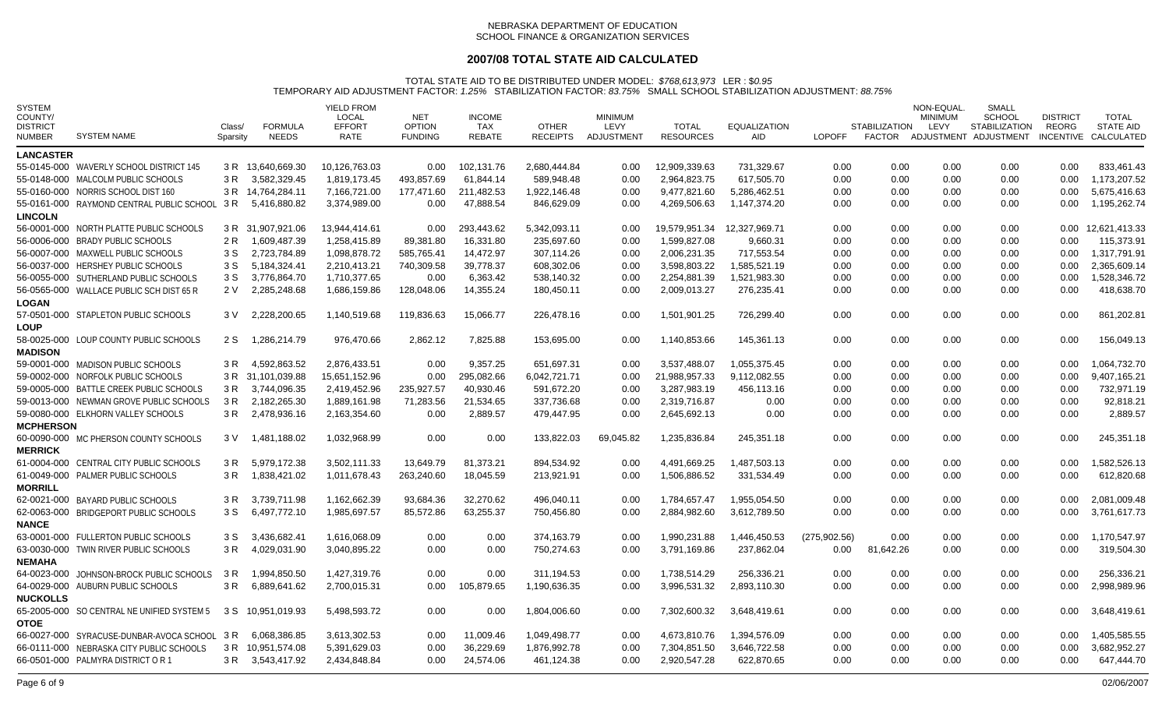## **2007/08 TOTAL STATE AID CALCULATED**

| <b>SYSTEM</b><br>COUNTY/<br><b>DISTRICT</b><br>NUMBER | <b>SYSTEM NAME</b>                         | Class/<br>Sparsity | <b>FORMULA</b><br><b>NEEDS</b> | <b>YIELD FROM</b><br>LOCAL<br><b>EFFORT</b><br><b>RATE</b> | <b>NET</b><br><b>OPTION</b><br><b>FUNDING</b> | <b>INCOME</b><br>TAX<br><b>REBATE</b> | <b>OTHER</b><br><b>RECEIPTS</b> | <b>MINIMUM</b><br>LEVY<br>ADJUSTMENT | <b>TOTAL</b><br><b>RESOURCES</b> | <b>EQUALIZATION</b><br>AID | <b>LOPOFF</b> | <b>STABILIZATION</b> | NON-EQUAL<br><b>MINIMUM</b><br>LEVY | SMALL<br><b>SCHOOL</b><br><b>STABILIZATION</b><br>FACTOR ADJUSTMENT ADJUSTMENT | <b>DISTRICT</b><br>REORG | TOTAL<br><b>STATE AID</b><br>INCENTIVE CALCULATED |
|-------------------------------------------------------|--------------------------------------------|--------------------|--------------------------------|------------------------------------------------------------|-----------------------------------------------|---------------------------------------|---------------------------------|--------------------------------------|----------------------------------|----------------------------|---------------|----------------------|-------------------------------------|--------------------------------------------------------------------------------|--------------------------|---------------------------------------------------|
| <b>LANCASTER</b>                                      |                                            |                    |                                |                                                            |                                               |                                       |                                 |                                      |                                  |                            |               |                      |                                     |                                                                                |                          |                                                   |
|                                                       | 55-0145-000 WAVERLY SCHOOL DISTRICT 145    |                    | 3 R 13.640.669.30              | 10,126,763.03                                              | 0.00                                          | 102,131.76                            | 2,680,444.84                    | 0.00                                 | 12.909.339.63                    | 731.329.67                 | 0.00          | 0.00                 | 0.00                                | 0.00                                                                           | 0.00                     | 833.461.43                                        |
|                                                       | 55-0148-000 MALCOLM PUBLIC SCHOOLS         | 3 R                | 3,582,329.45                   | 1,819,173.45                                               | 493,857.69                                    | 61,844.14                             | 589,948.48                      | 0.00                                 | 2.964.823.75                     | 617,505.70                 | 0.00          | 0.00                 | 0.00                                | 0.00                                                                           | 0.00                     | 1,173,207.52                                      |
|                                                       | 55-0160-000 NORRIS SCHOOL DIST 160         |                    | 3 R 14,764,284.11              | 7,166,721.00                                               | 177,471.60                                    | 211,482.53                            | 1,922,146.48                    | 0.00                                 | 9,477,821.60                     | 5,286,462.51               | 0.00          | 0.00                 | 0.00                                | 0.00                                                                           | 0.00                     | 5,675,416.63                                      |
|                                                       | 55-0161-000 RAYMOND CENTRAL PUBLIC SCHOOL  | 3 R                | 5,416,880.82                   | 3.374.989.00                                               | 0.00                                          | 47,888.54                             | 846.629.09                      | 0.00                                 | 4,269,506.63                     | 1.147.374.20               | 0.00          | 0.00                 | 0.00                                | 0.00                                                                           | 0.00                     | 1,195,262.74                                      |
| <b>LINCOLN</b>                                        |                                            |                    |                                |                                                            |                                               |                                       |                                 |                                      |                                  |                            |               |                      |                                     |                                                                                |                          |                                                   |
|                                                       | 56-0001-000 NORTH PLATTE PUBLIC SCHOOLS    |                    | 3 R 31,907,921.06              | 13,944,414.61                                              | 0.00                                          | 293,443.62                            | 5,342,093.11                    | 0.00                                 | 19,579,951.34                    | 12,327,969.71              | 0.00          | 0.00                 | 0.00                                | 0.00                                                                           | 0.00                     | 12,621,413.33                                     |
|                                                       | 56-0006-000 BRADY PUBLIC SCHOOLS           | 2 R                | 1,609,487.39                   | 1.258.415.89                                               | 89,381.80                                     | 16,331.80                             | 235.697.60                      | 0.00                                 | 1.599.827.08                     | 9,660.31                   | 0.00          | 0.00                 | 0.00                                | 0.00                                                                           | 0.00                     | 115,373.91                                        |
|                                                       | 56-0007-000 MAXWELL PUBLIC SCHOOLS         | 3 S                | 2,723,784.89                   | 1,098,878.72                                               | 585,765.41                                    | 14,472.97                             | 307,114.26                      | 0.00                                 | 2,006,231.35                     | 717,553.54                 | 0.00          | 0.00                 | 0.00                                | 0.00                                                                           | 0.00                     | 1,317,791.91                                      |
|                                                       | 56-0037-000 HERSHEY PUBLIC SCHOOLS         | 3 S                | 5,184,324.41                   | 2,210,413.21                                               | 740,309.58                                    | 39,778.37                             | 608,302.06                      | 0.00                                 | 3,598,803.22                     | 1,585,521.19               | 0.00          | 0.00                 | 0.00                                | 0.00                                                                           | 0.00                     | 2,365,609.14                                      |
|                                                       | 56-0055-000 SUTHERLAND PUBLIC SCHOOLS      | 3 S                | 3,776,864.70                   | 1,710,377.65                                               | 0.00                                          | 6,363.42                              | 538,140.32                      | 0.00                                 | 2,254,881.39                     | 1,521,983.30               | 0.00          | 0.00                 | 0.00                                | 0.00                                                                           | 0.00                     | 1,528,346.72                                      |
|                                                       | 56-0565-000 WALLACE PUBLIC SCH DIST 65 R   | 2 V                | 2,285,248.68                   | 1,686,159.86                                               | 128,048.06                                    | 14,355.24                             | 180,450.11                      | 0.00                                 | 2,009,013.27                     | 276,235.41                 | 0.00          | 0.00                 | 0.00                                | 0.00                                                                           | 0.00                     | 418,638.70                                        |
| <b>LOGAN</b>                                          |                                            |                    |                                |                                                            |                                               |                                       |                                 |                                      |                                  |                            |               |                      |                                     |                                                                                |                          |                                                   |
|                                                       | 57-0501-000 STAPLETON PUBLIC SCHOOLS       | 3 V                | 2,228,200.65                   | 1,140,519.68                                               | 119,836.63                                    | 15,066.77                             | 226,478.16                      | 0.00                                 | 1,501,901.25                     | 726,299.40                 | 0.00          | 0.00                 | 0.00                                | 0.00                                                                           | 0.00                     | 861,202.81                                        |
| LOUP                                                  |                                            |                    |                                |                                                            |                                               |                                       |                                 |                                      |                                  |                            |               |                      |                                     |                                                                                |                          |                                                   |
|                                                       | 58-0025-000 LOUP COUNTY PUBLIC SCHOOLS     | 2 S                | 1,286,214.79                   | 976,470.66                                                 | 2,862.12                                      | 7,825.88                              | 153,695.00                      | 0.00                                 | 1,140,853.66                     | 145,361.13                 | 0.00          | 0.00                 | 0.00                                | 0.00                                                                           | 0.00                     | 156,049.13                                        |
| <b>MADISON</b>                                        |                                            |                    |                                |                                                            |                                               |                                       |                                 |                                      |                                  |                            |               |                      |                                     |                                                                                |                          |                                                   |
|                                                       | 59-0001-000 MADISON PUBLIC SCHOOLS         | 3 R                | 4,592,863.52                   | 2,876,433.51                                               | 0.00                                          | 9,357.25                              | 651,697.31                      | 0.00                                 | 3,537,488.07                     | 1,055,375.45               | 0.00          | 0.00                 | 0.00                                | 0.00                                                                           | 0.00                     | 1,064,732.70                                      |
|                                                       | 59-0002-000 NORFOLK PUBLIC SCHOOLS         |                    | 3 R 31,101,039.88              | 15,651,152.96                                              | 0.00                                          | 295,082.66                            | 6,042,721.71                    | 0.00                                 | 21.988.957.33                    | 9.112.082.55               | 0.00          | 0.00                 | 0.00                                | 0.00                                                                           | 0.00                     | 9.407.165.21                                      |
|                                                       | 59-0005-000 BATTLE CREEK PUBLIC SCHOOLS    | 3 R                | 3,744,096.35                   | 2,419,452.96                                               | 235,927.57                                    | 40,930.46                             | 591,672.20                      | 0.00                                 | 3,287,983.19                     | 456,113.16                 | 0.00          | 0.00                 | 0.00                                | 0.00                                                                           | 0.00                     | 732,971.19                                        |
|                                                       | 59-0013-000 NEWMAN GROVE PUBLIC SCHOOLS    | 3 R                | 2,182,265.30                   | 1,889,161.98                                               | 71,283.56                                     | 21,534.65                             | 337,736.68                      | 0.00                                 | 2,319,716.87                     | 0.00                       | 0.00          | 0.00                 | 0.00                                | 0.00                                                                           | 0.00                     | 92,818.21                                         |
|                                                       | 59-0080-000 ELKHORN VALLEY SCHOOLS         | 3 R                | 2,478,936.16                   | 2,163,354.60                                               | 0.00                                          | 2,889.57                              | 479,447.95                      | 0.00                                 | 2,645,692.13                     | 0.00                       | 0.00          | 0.00                 | 0.00                                | 0.00                                                                           | 0.00                     | 2,889.57                                          |
| <b>MCPHERSON</b>                                      |                                            |                    |                                |                                                            |                                               |                                       |                                 |                                      |                                  |                            |               |                      |                                     |                                                                                |                          |                                                   |
|                                                       | 60-0090-000 MC PHERSON COUNTY SCHOOLS      | 3 V                | 1,481,188.02                   | 1,032,968.99                                               | 0.00                                          | 0.00                                  | 133,822.03                      | 69,045.82                            | 1,235,836.84                     | 245,351.18                 | 0.00          | 0.00                 | 0.00                                | 0.00                                                                           | 0.00                     | 245,351.18                                        |
| <b>MERRICK</b>                                        |                                            |                    |                                |                                                            |                                               |                                       |                                 |                                      |                                  |                            |               |                      |                                     |                                                                                |                          |                                                   |
|                                                       | 61-0004-000 CENTRAL CITY PUBLIC SCHOOLS    | 3 R                | 5,979,172.38                   | 3,502,111.33                                               | 13,649.79                                     | 81,373.21                             | 894,534.92                      | 0.00                                 | 4,491,669.25                     | 1,487,503.13               | 0.00          | 0.00                 | 0.00                                | $0.00\,$                                                                       | 0.00                     | 1,582,526.13                                      |
|                                                       | 61-0049-000 PALMER PUBLIC SCHOOLS          | 3 R                | 1,838,421.02                   | 1,011,678.43                                               | 263,240.60                                    | 18,045.59                             | 213,921.91                      | 0.00                                 | 1,506,886.52                     | 331,534.49                 | 0.00          | 0.00                 | 0.00                                | 0.00                                                                           | 0.00                     | 612,820.68                                        |
| <b>MORRILL</b>                                        |                                            |                    |                                |                                                            |                                               |                                       |                                 |                                      |                                  |                            |               |                      |                                     |                                                                                |                          |                                                   |
|                                                       | 62-0021-000 BAYARD PUBLIC SCHOOLS          | 3 R                | 3,739,711.98                   | 1,162,662.39                                               | 93,684.36                                     | 32,270.62                             | 496,040.11                      | 0.00                                 | 1,784,657.47                     | 1,955,054.50               | 0.00          | 0.00                 | 0.00                                | 0.00                                                                           | 0.00                     | 2,081,009.48                                      |
|                                                       | 62-0063-000 BRIDGEPORT PUBLIC SCHOOLS      | 3 S                | 6,497,772.10                   | 1,985,697.57                                               | 85,572.86                                     | 63,255.37                             | 750,456.80                      | 0.00                                 | 2,884,982.60                     | 3,612,789.50               | 0.00          | 0.00                 | 0.00                                | 0.00                                                                           | 0.00                     | 3,761,617.73                                      |
| <b>NANCE</b>                                          |                                            |                    |                                |                                                            |                                               |                                       |                                 |                                      |                                  |                            |               |                      |                                     |                                                                                |                          |                                                   |
|                                                       | 63-0001-000 FULLERTON PUBLIC SCHOOLS       | 3 S                | 3,436,682.41                   | 1,616,068.09                                               | 0.00                                          | 0.00                                  | 374,163.79                      | 0.00                                 | 1,990,231.88                     | 1,446,450.53               | (275,902.56)  | 0.00                 | 0.00                                | 0.00                                                                           | 0.00                     | 1,170,547.97                                      |
|                                                       | 63-0030-000 TWIN RIVER PUBLIC SCHOOLS      | 3 R                | 4,029,031.90                   | 3,040,895.22                                               | 0.00                                          | 0.00                                  | 750,274.63                      | 0.00                                 | 3,791,169.86                     | 237,862.04                 | $0.00\,$      | 81,642.26            | 0.00                                | 0.00                                                                           | 0.00                     | 319,504.30                                        |
| <b>NEMAHA</b>                                         |                                            |                    |                                |                                                            |                                               |                                       |                                 |                                      |                                  |                            |               |                      |                                     |                                                                                |                          |                                                   |
|                                                       | 64-0023-000 JOHNSON-BROCK PUBLIC SCHOOLS   | 3 R                | 1,994,850.50                   | 1,427,319.76                                               | 0.00                                          | 0.00                                  | 311,194.53                      | 0.00                                 | 1,738,514.29                     | 256,336.21                 | 0.00          | 0.00                 | 0.00                                | 0.00                                                                           | 0.00                     | 256,336.21                                        |
|                                                       | 64-0029-000 AUBURN PUBLIC SCHOOLS          | 3 R                | 6,889,641.62                   | 2,700,015.31                                               | 0.00                                          | 105,879.65                            | 1,190,636.35                    | 0.00                                 | 3,996,531.32                     | 2,893,110.30               | 0.00          | 0.00                 | 0.00                                | 0.00                                                                           | 0.00                     | 2,998,989.96                                      |
| <b>NUCKOLLS</b>                                       |                                            |                    |                                |                                                            |                                               |                                       |                                 |                                      |                                  |                            |               |                      |                                     |                                                                                |                          |                                                   |
|                                                       | 65-2005-000 SO CENTRAL NE UNIFIED SYSTEM 5 | 3 S                | 10,951,019.93                  | 5,498,593.72                                               | 0.00                                          | 0.00                                  | 1,804,006.60                    | 0.00                                 | 7,302,600.32                     | 3,648,419.61               | 0.00          | 0.00                 | 0.00                                | 0.00                                                                           | 0.00                     | 3,648,419.61                                      |
| <b>OTOE</b>                                           |                                            |                    |                                |                                                            |                                               |                                       |                                 |                                      |                                  |                            |               |                      |                                     |                                                                                |                          |                                                   |
|                                                       | 66-0027-000 SYRACUSE-DUNBAR-AVOCA SCHOOL   | 3 R                | 6,068,386.85                   | 3,613,302.53                                               | 0.00                                          | 11,009.46                             | 1,049,498.77                    | 0.00                                 | 4,673,810.76                     | 1,394,576.09               | $0.00\,$      | 0.00                 | 0.00                                | 0.00                                                                           | 0.00                     | 1,405,585.55                                      |
|                                                       | 66-0111-000 NEBRASKA CITY PUBLIC SCHOOLS   | 3 R                | 10,951,574.08                  | 5,391,629.03                                               | 0.00                                          | 36,229.69                             | 1,876,992.78                    | 0.00                                 | 7,304,851.50                     | 3,646,722.58               | 0.00          | 0.00                 | 0.00                                | 0.00                                                                           | 0.00                     | 3,682,952.27                                      |
|                                                       | 66-0501-000 PALMYRA DISTRICT OR 1          |                    | 3 R 3,543,417.92               | 2,434,848.84                                               | 0.00                                          | 24,574.06                             | 461,124.38                      | 0.00                                 | 2,920,547.28                     | 622,870.65                 | 0.00          | 0.00                 | 0.00                                | 0.00                                                                           | 0.00                     | 647,444.70                                        |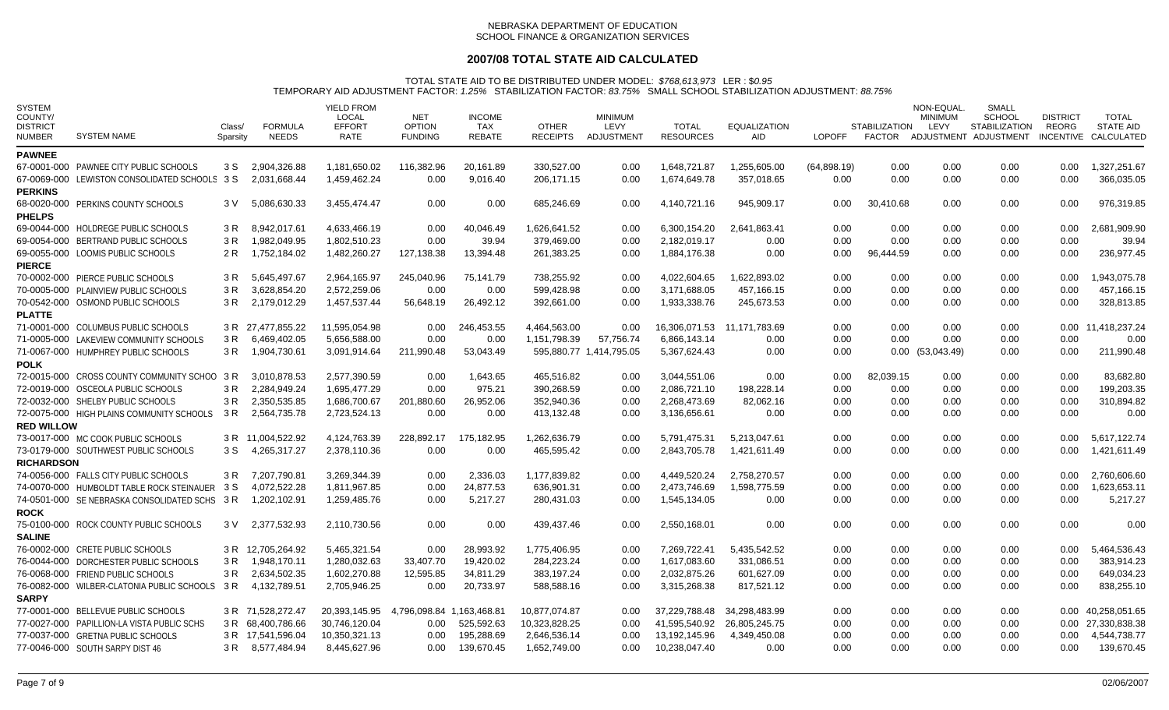# **2007/08 TOTAL STATE AID CALCULATED**

| <b>SYSTEM</b><br>COUNTY/<br><b>DISTRICT</b><br><b>NUMBER</b> | <b>SYSTEM NAME</b>                             | Class/<br>Sparsity | <b>FORMULA</b><br><b>NEEDS</b> | YIELD FROM<br><b>LOCAL</b><br><b>EFFORT</b><br>RATE | <b>NET</b><br><b>OPTION</b><br><b>FUNDING</b> | <b>INCOME</b><br><b>TAX</b><br><b>REBATE</b> | <b>OTHER</b><br><b>RECEIPTS</b> | <b>MINIMUM</b><br><b>LEVY</b><br>ADJUSTMENT | <b>TOTAL</b><br><b>RESOURCES</b> | <b>EQUALIZATION</b><br>AID. | <b>LOPOFF</b> | <b>STABILIZATION</b> | NON-EQUAL<br><b>MINIMUM</b><br>LEVY | SMALL<br><b>SCHOOL</b><br><b>STABILIZATION</b><br>FACTOR ADJUSTMENT ADJUSTMENT | <b>DISTRICT</b><br>REORG | TOTAL<br><b>STATE AID</b><br>INCENTIVE CALCULATED |
|--------------------------------------------------------------|------------------------------------------------|--------------------|--------------------------------|-----------------------------------------------------|-----------------------------------------------|----------------------------------------------|---------------------------------|---------------------------------------------|----------------------------------|-----------------------------|---------------|----------------------|-------------------------------------|--------------------------------------------------------------------------------|--------------------------|---------------------------------------------------|
| <b>PAWNEE</b>                                                |                                                |                    |                                |                                                     |                                               |                                              |                                 |                                             |                                  |                             |               |                      |                                     |                                                                                |                          |                                                   |
|                                                              | 67-0001-000 PAWNEE CITY PUBLIC SCHOOLS         | 3 S                | 2,904,326.88                   | 1,181,650.02                                        | 116,382.96                                    | 20,161.89                                    | 330,527.00                      | 0.00                                        | 1,648,721.87                     | 1,255,605.00                | (64,898.19)   | 0.00                 | 0.00                                | 0.00                                                                           | 0.00                     | 1,327,251.67                                      |
|                                                              | 67-0069-000 LEWISTON CONSOLIDATED SCHOOLS 3 S  |                    | 2,031,668.44                   | 1,459,462.24                                        | 0.00                                          | 9,016.40                                     | 206,171.15                      | 0.00                                        | 1,674,649.78                     | 357,018.65                  | 0.00          | 0.00                 | 0.00                                | 0.00                                                                           | 0.00                     | 366,035.05                                        |
| <b>PERKINS</b>                                               |                                                |                    |                                |                                                     |                                               |                                              |                                 |                                             |                                  |                             |               |                      |                                     |                                                                                |                          |                                                   |
|                                                              | 68-0020-000 PERKINS COUNTY SCHOOLS             | 3 V                | 5,086,630.33                   | 3,455,474.47                                        | 0.00                                          | 0.00                                         | 685,246.69                      | 0.00                                        | 4,140,721.16                     | 945,909.17                  | 0.00          | 30,410.68            | 0.00                                | 0.00                                                                           | 0.00                     | 976,319.85                                        |
| <b>PHELPS</b>                                                |                                                |                    |                                |                                                     |                                               |                                              |                                 |                                             |                                  |                             |               |                      |                                     |                                                                                |                          |                                                   |
|                                                              | 69-0044-000 HOLDREGE PUBLIC SCHOOLS            | 3 R                | 8.942.017.61                   | 4.633.466.19                                        | 0.00                                          | 40.046.49                                    | 1.626.641.52                    | 0.00                                        | 6.300.154.20                     | 2.641.863.41                | 0.00          | 0.00                 | 0.00                                | 0.00                                                                           | 0.00                     | 2.681.909.90                                      |
|                                                              | 69-0054-000 BERTRAND PUBLIC SCHOOLS            | 3 R                | 1.982.049.95                   | 1,802,510.23                                        | 0.00                                          | 39.94                                        | 379,469.00                      | 0.00                                        | 2.182.019.17                     | 0.00                        | 0.00          | 0.00                 | 0.00                                | 0.00                                                                           | 0.00                     | 39.94                                             |
|                                                              | 69-0055-000 LOOMIS PUBLIC SCHOOLS              | 2 R                | 1.752.184.02                   | 1,482,260.27                                        | 127,138.38                                    | 13,394.48                                    | 261,383.25                      | 0.00                                        | 1.884.176.38                     | 0.00                        | 0.00          | 96,444.59            | 0.00                                | 0.00                                                                           | 0.00                     | 236,977.45                                        |
| <b>PIERCE</b>                                                |                                                |                    |                                |                                                     |                                               |                                              |                                 |                                             |                                  |                             |               |                      |                                     |                                                                                |                          |                                                   |
|                                                              | 70-0002-000 PIERCE PUBLIC SCHOOLS              | 3 R                | 5.645.497.67                   | 2,964,165.97                                        | 245,040.96                                    | 75,141.79                                    | 738,255.92                      | 0.00                                        | 4.022.604.65                     | 1.622.893.02                | 0.00          | 0.00                 | 0.00                                | 0.00                                                                           | 0.00                     | 1,943,075.78                                      |
|                                                              | 70-0005-000 PLAINVIEW PUBLIC SCHOOLS           | 3 R                | 3.628.854.20                   | 2.572.259.06                                        | 0.00                                          | 0.00                                         | 599.428.98                      | 0.00                                        | 3.171.688.05                     | 457.166.15                  | 0.00          | 0.00                 | 0.00                                | 0.00                                                                           | 0.00                     | 457,166.15                                        |
|                                                              | 70-0542-000 OSMOND PUBLIC SCHOOLS              | 3 R                | 2,179,012.29                   | 1,457,537.44                                        | 56,648.19                                     | 26,492.12                                    | 392,661.00                      | 0.00                                        | 1,933,338.76                     | 245,673.53                  | 0.00          | 0.00                 | 0.00                                | 0.00                                                                           | 0.00                     | 328,813.85                                        |
| <b>PLATTE</b>                                                |                                                |                    |                                |                                                     |                                               |                                              |                                 |                                             |                                  |                             |               |                      |                                     |                                                                                |                          |                                                   |
|                                                              | 71-0001-000 COLUMBUS PUBLIC SCHOOLS            |                    | 3 R 27,477,855.22              | 11,595,054.98                                       | 0.00                                          | 246,453.55                                   | 4,464,563.00                    | 0.00                                        | 16,306,071.53                    | 11,171,783.69               | 0.00          | 0.00                 | 0.00                                | 0.00                                                                           | 0.00                     | 11,418,237.24                                     |
|                                                              | 71-0005-000 LAKEVIEW COMMUNITY SCHOOLS         | 3 R                | 6,469,402.05                   | 5,656,588.00                                        | 0.00                                          | 0.00                                         | 1,151,798.39                    | 57,756.74                                   | 6,866,143.14                     | 0.00                        | 0.00          | 0.00                 | 0.00                                | 0.00                                                                           | 0.00                     | 0.00                                              |
|                                                              | 71-0067-000 HUMPHREY PUBLIC SCHOOLS            | 3 R                | 1,904,730.61                   | 3,091,914.64                                        | 211,990.48                                    | 53,043.49                                    |                                 | 595,880.77 1,414,795.05                     | 5,367,624.43                     | 0.00                        | 0.00          | 0.00                 | (53,043.49)                         | 0.00                                                                           | 0.00                     | 211,990.48                                        |
| <b>POLK</b>                                                  |                                                |                    |                                |                                                     |                                               |                                              |                                 |                                             |                                  |                             |               |                      |                                     |                                                                                |                          |                                                   |
|                                                              | 72-0015-000 CROSS COUNTY COMMUNITY SCHOO 3 R   |                    | 3,010,878.53                   | 2,577,390.59                                        | 0.00                                          | 1,643.65                                     | 465,516.82                      | 0.00                                        | 3,044,551.06                     | 0.00                        | 0.00          | 82,039.15            | 0.00                                | 0.00                                                                           | 0.00                     | 83,682.80                                         |
|                                                              | 72-0019-000 OSCEOLA PUBLIC SCHOOLS             | 3 R                | 2,284,949.24                   | 1,695,477.29                                        | 0.00                                          | 975.21                                       | 390,268.59                      | 0.00                                        | 2,086,721.10                     | 198,228.14                  | 0.00          | 0.00                 | 0.00                                | 0.00                                                                           | 0.00                     | 199,203.35                                        |
|                                                              | 72-0032-000 SHELBY PUBLIC SCHOOLS              | 3 R                | 2,350,535.85                   | 1,686,700.67                                        | 201,880.60                                    | 26,952.06                                    | 352,940.36                      | 0.00                                        | 2,268,473.69                     | 82,062.16                   | 0.00          | 0.00                 | 0.00                                | 0.00                                                                           | 0.00                     | 310,894.82                                        |
|                                                              | 72-0075-000 HIGH PLAINS COMMUNITY SCHOOLS      | 3 R                | 2,564,735.78                   | 2,723,524.13                                        | 0.00                                          | 0.00                                         | 413,132.48                      | 0.00                                        | 3,136,656.61                     | 0.00                        | 0.00          | 0.00                 | 0.00                                | 0.00                                                                           | 0.00                     | 0.00                                              |
| <b>RED WILLOW</b>                                            |                                                |                    |                                |                                                     |                                               |                                              |                                 |                                             |                                  |                             |               |                      |                                     |                                                                                |                          |                                                   |
|                                                              | 73-0017-000 MC COOK PUBLIC SCHOOLS             |                    | 3 R 11.004.522.92              | 4.124.763.39                                        | 228,892.17                                    | 175,182.95                                   | 1,262,636.79                    | 0.00                                        | 5.791.475.31                     | 5.213.047.61                | 0.00          | 0.00                 | 0.00                                | 0.00                                                                           | 0.00                     | 5.617.122.74                                      |
|                                                              | 73-0179-000 SOUTHWEST PUBLIC SCHOOLS           | 3 S                | 4,265,317.27                   | 2,378,110.36                                        | 0.00                                          | 0.00                                         | 465.595.42                      | 0.00                                        | 2,843,705.78                     | 1,421,611.49                | 0.00          | 0.00                 | 0.00                                | 0.00                                                                           | 0.00                     | 1.421.611.49                                      |
| <b>RICHARDSON</b>                                            |                                                |                    |                                |                                                     |                                               |                                              |                                 |                                             |                                  |                             |               |                      |                                     |                                                                                |                          |                                                   |
|                                                              | 74-0056-000 FALLS CITY PUBLIC SCHOOLS          |                    | 3 R 7.207.790.81               | 3.269.344.39                                        | 0.00                                          | 2,336.03                                     | 1,177,839.82                    | 0.00                                        | 4.449.520.24                     | 2,758,270.57                | 0.00          | 0.00                 | 0.00                                | 0.00                                                                           | 0.00                     | 2,760,606.60                                      |
|                                                              | 74-0070-000 HUMBOLDT TABLE ROCK STEINAUER      | 3 S                | 4,072,522.28                   | 1.811.967.85                                        | 0.00                                          | 24,877.53                                    | 636,901.31                      | 0.00                                        | 2.473.746.69                     | 1,598,775.59                | 0.00          | 0.00                 | 0.00                                | 0.00                                                                           | 0.00                     | 1,623,653.11                                      |
|                                                              | 74-0501-000 SE NEBRASKA CONSOLIDATED SCHS 3 R  |                    | 1,202,102.91                   | 1,259,485.76                                        | 0.00                                          | 5,217.27                                     | 280,431.03                      | 0.00                                        | 1,545,134.05                     | 0.00                        | 0.00          | 0.00                 | 0.00                                | 0.00                                                                           | 0.00                     | 5,217.27                                          |
| <b>ROCK</b>                                                  |                                                |                    |                                |                                                     |                                               |                                              |                                 |                                             |                                  |                             |               |                      |                                     |                                                                                |                          |                                                   |
|                                                              | 75-0100-000 ROCK COUNTY PUBLIC SCHOOLS         | 3 V                | 2,377,532.93                   | 2,110,730.56                                        | 0.00                                          | 0.00                                         | 439,437.46                      | 0.00                                        | 2,550,168.01                     | 0.00                        | 0.00          | 0.00                 | 0.00                                | 0.00                                                                           | 0.00                     | 0.00                                              |
| <b>SALINE</b>                                                |                                                |                    |                                |                                                     |                                               |                                              |                                 |                                             |                                  |                             |               |                      |                                     |                                                                                |                          |                                                   |
|                                                              | 76-0002-000 CRETE PUBLIC SCHOOLS               |                    | 3 R 12,705,264.92              | 5,465,321.54                                        | 0.00                                          | 28,993.92                                    | 1,775,406.95                    | 0.00                                        | 7,269,722.41                     | 5,435,542.52                | 0.00          | 0.00                 | 0.00                                | 0.00                                                                           | 0.00                     | 5,464,536.43                                      |
|                                                              | 76-0044-000 DORCHESTER PUBLIC SCHOOLS          | 3 R                | 1,948,170.11                   | 1,280,032.63                                        | 33,407.70                                     | 19,420.02                                    | 284,223.24                      | 0.00                                        | 1,617,083.60                     | 331,086.51                  | 0.00          | 0.00                 | 0.00                                | 0.00                                                                           | 0.00                     | 383,914.23                                        |
|                                                              | 76-0068-000 FRIEND PUBLIC SCHOOLS              | 3 R                | 2,634,502.35                   | 1,602,270.88                                        | 12,595.85                                     | 34,811.29                                    | 383,197.24                      | 0.00                                        | 2.032.875.26                     | 601,627.09                  | 0.00          | 0.00                 | 0.00                                | 0.00                                                                           | 0.00                     | 649,034.23                                        |
|                                                              | 76-0082-000 WILBER-CLATONIA PUBLIC SCHOOLS 3 R |                    | 4,132,789.51                   | 2,705,946.25                                        | 0.00                                          | 20,733.97                                    | 588,588.16                      | 0.00                                        | 3,315,268.38                     | 817,521.12                  | 0.00          | 0.00                 | 0.00                                | 0.00                                                                           | 0.00                     | 838,255.10                                        |
| <b>SARPY</b>                                                 |                                                |                    |                                |                                                     |                                               |                                              |                                 |                                             |                                  |                             |               |                      |                                     |                                                                                |                          |                                                   |
|                                                              | 77-0001-000 BELLEVUE PUBLIC SCHOOLS            |                    | 3 R 71,528,272.47              | 20,393,145.95                                       | 4,796,098.84 1,163,468.81                     |                                              | 10,877,074.87                   | 0.00                                        | 37,229,788.48                    | 34,298,483.99               | 0.00          | 0.00                 | 0.00                                | 0.00                                                                           | 0.00                     | 40,258,051.65                                     |
|                                                              | 77-0027-000 PAPILLION-LA VISTA PUBLIC SCHS     |                    | 3 R 68,400,786.66              | 30,746,120.04                                       | 0.00                                          | 525,592.63                                   | 10,323,828.25                   | 0.00                                        | 41,595,540.92                    | 26,805,245.75               | 0.00          | 0.00                 | 0.00                                | 0.00                                                                           |                          | 0.00 27,330,838.38                                |
|                                                              | 77-0037-000 GRETNA PUBLIC SCHOOLS              |                    | 3 R 17.541.596.04              | 10.350.321.13                                       | 0.00                                          | 195.288.69                                   | 2,646,536.14                    | 0.00                                        | 13.192.145.96                    | 4.349.450.08                | 0.00          | 0.00                 | 0.00                                | 0.00                                                                           | 0.00                     | 4,544,738.77                                      |
|                                                              | 77-0046-000 SOUTH SARPY DIST 46                |                    | 3 R 8,577,484.94               | 8.445.627.96                                        | 0.00                                          | 139,670.45                                   | 1,652,749.00                    | 0.00                                        | 10,238,047.40                    | 0.00                        | 0.00          | 0.00                 | 0.00                                | 0.00                                                                           | 0.00                     | 139,670.45                                        |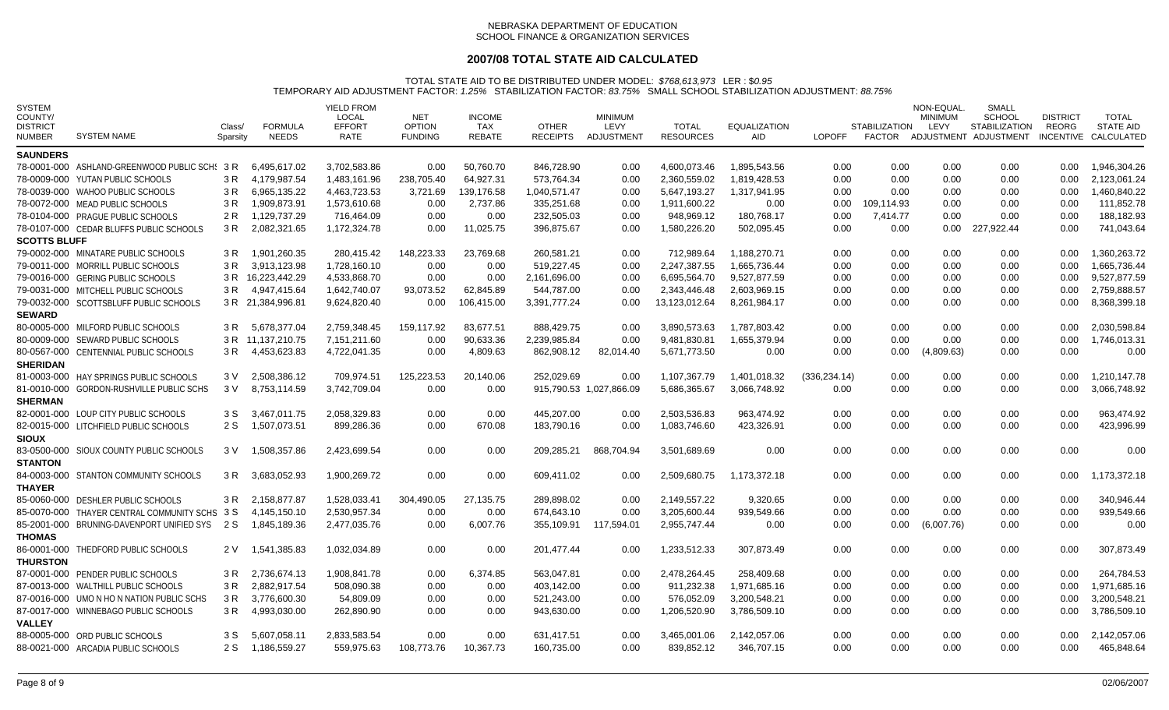# **2007/08 TOTAL STATE AID CALCULATED**

| <b>SYSTEM</b><br>COUNTY/<br><b>DISTRICT</b><br><b>NUMBER</b> | <b>SYSTEM NAME</b>                            | Class/<br>Sparsity | <b>FORMULA</b><br><b>NEEDS</b> | YIELD FROM<br>LOCAL<br><b>EFFORT</b><br>RATE | <b>NET</b><br><b>OPTION</b><br><b>FUNDING</b> | <b>INCOME</b><br>TAX<br><b>REBATE</b> | <b>OTHER</b><br><b>RECEIPTS</b> | <b>MINIMUM</b><br>LEVY<br>ADJUSTMENT | <b>TOTAL</b><br><b>RESOURCES</b> | <b>EQUALIZATION</b><br><b>AID</b> | <b>LOPOFF</b> | <b>STABILIZATION</b> | NON-EQUAL<br><b>MINIMUM</b><br>LEVY | <b>SMALL</b><br><b>SCHOOL</b><br><b>STABILIZATION</b><br>FACTOR ADJUSTMENT ADJUSTMENT | <b>DISTRICT</b><br>REORG | TOTAL<br><b>STATE AID</b><br>INCENTIVE CALCULATED |
|--------------------------------------------------------------|-----------------------------------------------|--------------------|--------------------------------|----------------------------------------------|-----------------------------------------------|---------------------------------------|---------------------------------|--------------------------------------|----------------------------------|-----------------------------------|---------------|----------------------|-------------------------------------|---------------------------------------------------------------------------------------|--------------------------|---------------------------------------------------|
| <b>SAUNDERS</b>                                              |                                               |                    |                                |                                              |                                               |                                       |                                 |                                      |                                  |                                   |               |                      |                                     |                                                                                       |                          |                                                   |
|                                                              | 78-0001-000 ASHLAND-GREENWOOD PUBLIC SCH: 3 R |                    | 6.495.617.02                   | 3.702.583.86                                 | 0.00                                          | 50.760.70                             | 846.728.90                      | 0.00                                 | 4.600.073.46                     | 1.895.543.56                      | 0.00          | 0.00                 | 0.00                                | 0.00                                                                                  | 0.00                     | 1.946.304.26                                      |
|                                                              | 78-0009-000 YUTAN PUBLIC SCHOOLS              | 3 R                | 4,179,987.54                   | 1,483,161.96                                 | 238,705.40                                    | 64,927.31                             | 573,764.34                      | 0.00                                 | 2.360.559.02                     | 1,819,428.53                      | 0.00          | 0.00                 | 0.00                                | 0.00                                                                                  | 0.00                     | 2,123,061.24                                      |
|                                                              | 78-0039-000 WAHOO PUBLIC SCHOOLS              | 3 R                | 6,965,135.22                   | 4,463,723.53                                 | 3,721.69                                      | 139,176.58                            | 1,040,571.47                    | 0.00                                 | 5,647,193.27                     | 1,317,941.95                      | 0.00          | 0.00                 | 0.00                                | 0.00                                                                                  | 0.00                     | 1,460,840.22                                      |
|                                                              | 78-0072-000 MEAD PUBLIC SCHOOLS               | 3 R                | 1,909,873.91                   | 1,573,610.68                                 | 0.00                                          | 2,737.86                              | 335,251.68                      | 0.00                                 | 1,911,600.22                     | 0.00                              | 0.00          | 109.114.93           | 0.00                                | 0.00                                                                                  | 0.00                     | 111,852.78                                        |
|                                                              | 78-0104-000 PRAGUE PUBLIC SCHOOLS             | 2 R                | 1.129.737.29                   | 716.464.09                                   | 0.00                                          | 0.00                                  | 232.505.03                      | 0.00                                 | 948.969.12                       | 180,768.17                        | 0.00          | 7,414.77             | 0.00                                | 0.00                                                                                  | 0.00                     | 188,182.93                                        |
|                                                              | 78-0107-000 CEDAR BLUFFS PUBLIC SCHOOLS       | 3 R                | 2,082,321.65                   | 1,172,324.78                                 | 0.00                                          | 11,025.75                             | 396,875.67                      | 0.00                                 | 1,580,226.20                     | 502,095.45                        | 0.00          | 0.00                 | 0.00                                | 227,922.44                                                                            | 0.00                     | 741,043.64                                        |
| <b>SCOTTS BLUFF</b>                                          |                                               |                    |                                |                                              |                                               |                                       |                                 |                                      |                                  |                                   |               |                      |                                     |                                                                                       |                          |                                                   |
|                                                              | 79-0002-000 MINATARE PUBLIC SCHOOLS           | 3 R                | 1.901.260.35                   | 280.415.42                                   | 148,223.33                                    | 23,769.68                             | 260.581.21                      | 0.00                                 | 712.989.64                       | 1.188.270.71                      | 0.00          | 0.00                 | 0.00                                | 0.00                                                                                  | 0.00                     | 1.360.263.72                                      |
|                                                              | 79-0011-000 MORRILL PUBLIC SCHOOLS            | 3 R                | 3,913,123.98                   | 1,728,160.10                                 | 0.00                                          | 0.00                                  | 519,227.45                      | 0.00                                 | 2,247,387.55                     | 1,665,736.44                      | 0.00          | 0.00                 | 0.00                                | 0.00                                                                                  | 0.00                     | 1,665,736.44                                      |
|                                                              | 79-0016-000 GERING PUBLIC SCHOOLS             |                    | 3 R 16.223.442.29              | 4,533,868.70                                 | 0.00                                          | 0.00                                  | 2,161,696.00                    | 0.00                                 | 6,695,564.70                     | 9,527,877.59                      | 0.00          | 0.00                 | 0.00                                | 0.00                                                                                  | 0.00                     | 9.527.877.59                                      |
|                                                              | 79-0031-000 MITCHELL PUBLIC SCHOOLS           | 3 R                | 4,947,415.64                   | 1,642,740.07                                 | 93,073.52                                     | 62,845.89                             | 544,787.00                      | $0.00\,$                             | 2.343.446.48                     | 2,603,969.15                      | 0.00          | 0.00                 | 0.00                                | 0.00                                                                                  | 0.00                     | 2,759,888.57                                      |
|                                                              | 79-0032-000 SCOTTSBLUFF PUBLIC SCHOOLS        |                    | 3 R 21,384,996.81              | 9,624,820.40                                 | 0.00                                          | 106,415.00                            | 3,391,777.24                    | 0.00                                 | 13,123,012.64                    | 8,261,984.17                      | 0.00          | 0.00                 | 0.00                                | 0.00                                                                                  | 0.00                     | 8,368,399.18                                      |
| <b>SEWARD</b>                                                |                                               |                    |                                |                                              |                                               |                                       |                                 |                                      |                                  |                                   |               |                      |                                     |                                                                                       |                          |                                                   |
|                                                              | 80-0005-000 MILFORD PUBLIC SCHOOLS            | 3 R                | 5,678,377.04                   | 2,759,348.45                                 | 159,117.92                                    | 83,677.51                             | 888,429.75                      | 0.00                                 | 3,890,573.63                     | 1,787,803.42                      | 0.00          | 0.00                 | 0.00                                | 0.00                                                                                  | 0.00                     | 2,030,598.84                                      |
|                                                              | 80-0009-000 SEWARD PUBLIC SCHOOLS             |                    | 3 R 11,137,210.75              | 7,151,211.60                                 | 0.00                                          | 90,633.36                             | 2,239,985.84                    | 0.00                                 | 9,481,830.81                     | 1,655,379.94                      | 0.00          | 0.00                 | 0.00                                | 0.00                                                                                  | 0.00                     | 1,746,013.31                                      |
|                                                              | 80-0567-000 CENTENNIAL PUBLIC SCHOOLS         | 3 R                | 4,453,623.83                   | 4,722,041.35                                 | 0.00                                          | 4,809.63                              | 862,908.12                      | 82,014.40                            | 5,671,773.50                     | 0.00                              | 0.00          | 0.00                 | (4,809.63)                          | 0.00                                                                                  | 0.00                     | 0.00                                              |
| <b>SHERIDAN</b>                                              |                                               |                    |                                |                                              |                                               |                                       |                                 |                                      |                                  |                                   |               |                      |                                     |                                                                                       |                          |                                                   |
|                                                              | 81-0003-000 HAY SPRINGS PUBLIC SCHOOLS        | 3 V                | 2.508.386.12                   | 709.974.51                                   | 125,223.53                                    | 20,140.06                             | 252.029.69                      | 0.00                                 | 1,107,367.79                     | 1,401,018.32                      | (336, 234.14) | 0.00                 | 0.00                                | 0.00                                                                                  | 0.00                     | 1.210.147.78                                      |
|                                                              | 81-0010-000 GORDON-RUSHVILLE PUBLIC SCHS      | 3 V                | 8,753,114.59                   | 3,742,709.04                                 | 0.00                                          | 0.00                                  |                                 | 915,790.53 1,027,866.09              | 5,686,365.67                     | 3,066,748.92                      | 0.00          | 0.00                 | 0.00                                | 0.00                                                                                  | 0.00                     | 3,066,748.92                                      |
| <b>SHERMAN</b>                                               |                                               |                    |                                |                                              |                                               |                                       |                                 |                                      |                                  |                                   |               |                      |                                     |                                                                                       |                          |                                                   |
|                                                              | 82-0001-000 LOUP CITY PUBLIC SCHOOLS          | 3 S                | 3,467,011.75                   | 2,058,329.83                                 | 0.00                                          | 0.00                                  | 445,207.00                      | 0.00                                 | 2,503,536.83                     | 963,474.92                        | 0.00          | 0.00                 | 0.00                                | 0.00                                                                                  | 0.00                     | 963,474.92                                        |
|                                                              | 82-0015-000 LITCHFIELD PUBLIC SCHOOLS         | 2 S                | 1,507,073.51                   | 899,286.36                                   | 0.00                                          | 670.08                                | 183,790.16                      | 0.00                                 | 1,083,746.60                     | 423,326.91                        | 0.00          | 0.00                 | 0.00                                | 0.00                                                                                  | 0.00                     | 423,996.99                                        |
| <b>SIOUX</b>                                                 |                                               |                    |                                |                                              |                                               |                                       |                                 |                                      |                                  |                                   |               |                      |                                     |                                                                                       |                          |                                                   |
|                                                              | 83-0500-000 SIOUX COUNTY PUBLIC SCHOOLS       | 3 V                | 1,508,357.86                   | 2,423,699.54                                 | 0.00                                          | 0.00                                  | 209,285.21                      | 868,704.94                           | 3,501,689.69                     | 0.00                              | 0.00          | 0.00                 | 0.00                                | 0.00                                                                                  | 0.00                     | 0.00                                              |
| <b>STANTON</b>                                               |                                               |                    |                                |                                              |                                               |                                       |                                 |                                      |                                  |                                   |               |                      |                                     |                                                                                       |                          |                                                   |
|                                                              | 84-0003-000 STANTON COMMUNITY SCHOOLS         | 3 R                | 3,683,052.93                   | 1,900,269.72                                 | 0.00                                          | 0.00                                  | 609,411.02                      | 0.00                                 | 2,509,680.75                     | 1,173,372.18                      | 0.00          | 0.00                 | 0.00                                | 0.00                                                                                  | 0.00                     | 1,173,372.18                                      |
| <b>THAYER</b>                                                |                                               |                    |                                |                                              |                                               |                                       |                                 |                                      |                                  |                                   |               |                      |                                     |                                                                                       |                          |                                                   |
|                                                              | 85-0060-000 DESHLER PUBLIC SCHOOLS            | 3 R                | 2,158,877.87                   | 1.528.033.41                                 | 304,490.05                                    | 27,135.75                             | 289,898.02                      | 0.00                                 | 2,149,557.22                     | 9,320.65                          | 0.00          | 0.00                 | 0.00                                | 0.00                                                                                  | 0.00                     | 340,946.44                                        |
|                                                              | 85-0070-000 THAYER CENTRAL COMMUNITY SCHS 3 S |                    | 4,145,150.10                   | 2,530,957.34                                 | 0.00                                          | 0.00                                  | 674,643.10                      | 0.00                                 | 3,205,600.44                     | 939,549.66                        | 0.00          | 0.00                 | 0.00                                | 0.00                                                                                  | 0.00                     | 939,549.66                                        |
|                                                              | 85-2001-000 BRUNING-DAVENPORT UNIFIED SYS     | 2 S                | 1.845.189.36                   | 2,477,035.76                                 | 0.00                                          | 6,007.76                              | 355,109.91                      | 117,594.01                           | 2,955,747.44                     | 0.00                              | 0.00          | 0.00                 | (6,007.76)                          | 0.00                                                                                  | 0.00                     | 0.00                                              |
| <b>THOMAS</b>                                                |                                               |                    |                                |                                              |                                               |                                       |                                 |                                      |                                  |                                   |               |                      |                                     |                                                                                       |                          |                                                   |
|                                                              | 86-0001-000 THEDFORD PUBLIC SCHOOLS           | 2 V                | 1,541,385.83                   | 1,032,034.89                                 | 0.00                                          | 0.00                                  | 201,477.44                      | 0.00                                 | 1,233,512.33                     | 307,873.49                        | 0.00          | 0.00                 | 0.00                                | 0.00                                                                                  | 0.00                     | 307,873.49                                        |
| <b>THURSTON</b>                                              |                                               |                    |                                |                                              |                                               |                                       |                                 |                                      |                                  |                                   |               |                      |                                     |                                                                                       |                          |                                                   |
|                                                              | 87-0001-000 PENDER PUBLIC SCHOOLS             | 3 R                | 2.736.674.13                   | 1.908.841.78                                 | 0.00                                          | 6,374.85                              | 563,047.81                      | 0.00                                 | 2,478,264.45                     | 258,409.68                        | 0.00          | 0.00                 | 0.00                                | 0.00                                                                                  | 0.00                     | 264,784.53                                        |
|                                                              | 87-0013-000 WALTHILL PUBLIC SCHOOLS           | 3 R                | 2.882.917.54                   | 508.090.38                                   | 0.00                                          | 0.00                                  | 403,142.00                      | 0.00                                 | 911,232.38                       | 1,971,685.16                      | 0.00          | 0.00                 | 0.00                                | 0.00                                                                                  | 0.00                     | 1.971.685.16                                      |
|                                                              | 87-0016-000 UMO N HO N NATION PUBLIC SCHS     | 3 R                | 3,776,600.30                   | 54,809.09                                    | 0.00                                          | 0.00                                  | 521,243.00                      | $0.00\,$                             | 576,052.09                       | 3,200,548.21                      | 0.00          | 0.00                 | 0.00                                | 0.00                                                                                  | 0.00                     | 3,200,548.21                                      |
|                                                              | 87-0017-000 WINNEBAGO PUBLIC SCHOOLS          | 3 R                | 4,993,030.00                   | 262,890.90                                   | 0.00                                          | 0.00                                  | 943,630.00                      | 0.00                                 | 1,206,520.90                     | 3,786,509.10                      | 0.00          | 0.00                 | 0.00                                | 0.00                                                                                  | 0.00                     | 3,786,509.10                                      |
| <b>VALLEY</b>                                                |                                               |                    |                                |                                              |                                               |                                       |                                 |                                      |                                  |                                   |               |                      |                                     |                                                                                       |                          |                                                   |
|                                                              | 88-0005-000 ORD PUBLIC SCHOOLS                | 3 S                | 5.607.058.11                   | 2,833,583.54                                 | 0.00                                          | 0.00                                  | 631,417.51                      | 0.00                                 | 3,465,001.06                     | 2,142,057.06                      | 0.00          | 0.00                 | 0.00                                | 0.00                                                                                  | 0.00                     | 2,142,057.06                                      |
|                                                              | 88-0021-000 ARCADIA PUBLIC SCHOOLS            | 2 S                | 1,186,559.27                   | 559,975.63                                   | 108,773.76                                    | 10,367.73                             | 160,735.00                      | 0.00                                 | 839,852.12                       | 346,707.15                        | 0.00          | 0.00                 | 0.00                                | 0.00                                                                                  | 0.00                     | 465,848.64                                        |